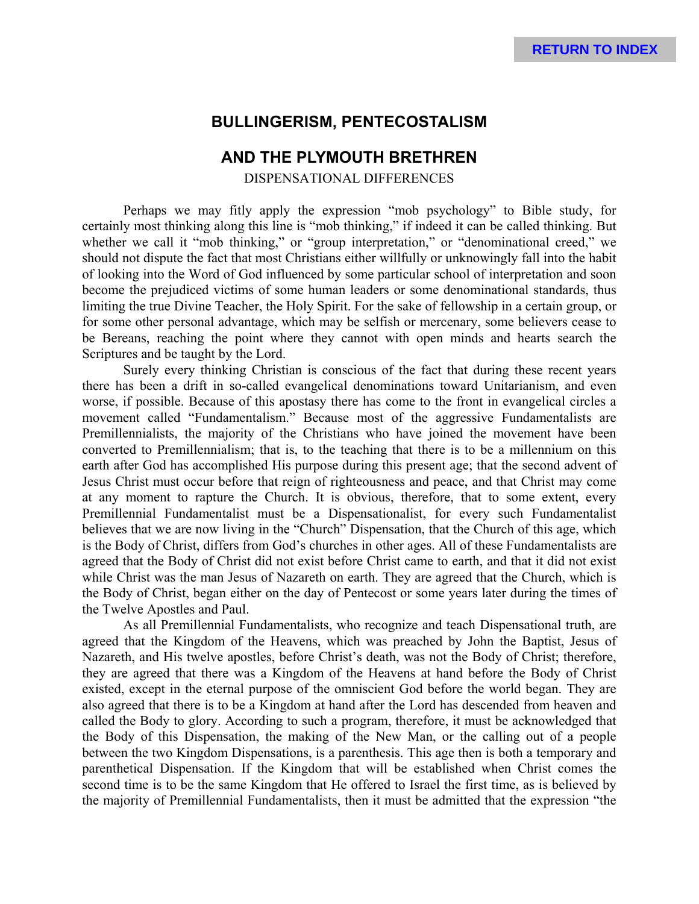# **BULLINGERISM, PENTECOSTALISM**

## **AND THE PLYMOUTH BRETHREN**

DISPENSATIONAL DIFFERENCES

Perhaps we may fitly apply the expression "mob psychology" to Bible study, for certainly most thinking along this line is "mob thinking," if indeed it can be called thinking. But whether we call it "mob thinking," or "group interpretation," or "denominational creed," we should not dispute the fact that most Christians either willfully or unknowingly fall into the habit of looking into the Word of God influenced by some particular school of interpretation and soon become the prejudiced victims of some human leaders or some denominational standards, thus limiting the true Divine Teacher, the Holy Spirit. For the sake of fellowship in a certain group, or for some other personal advantage, which may be selfish or mercenary, some believers cease to be Bereans, reaching the point where they cannot with open minds and hearts search the Scriptures and be taught by the Lord.

Surely every thinking Christian is conscious of the fact that during these recent years there has been a drift in so-called evangelical denominations toward Unitarianism, and even worse, if possible. Because of this apostasy there has come to the front in evangelical circles a movement called "Fundamentalism." Because most of the aggressive Fundamentalists are Premillennialists, the majority of the Christians who have joined the movement have been converted to Premillennialism; that is, to the teaching that there is to be a millennium on this earth after God has accomplished His purpose during this present age; that the second advent of Jesus Christ must occur before that reign of righteousness and peace, and that Christ may come at any moment to rapture the Church. It is obvious, therefore, that to some extent, every Premillennial Fundamentalist must be a Dispensationalist, for every such Fundamentalist believes that we are now living in the "Church" Dispensation, that the Church of this age, which is the Body of Christ, differs from God's churches in other ages. All of these Fundamentalists are agreed that the Body of Christ did not exist before Christ came to earth, and that it did not exist while Christ was the man Jesus of Nazareth on earth. They are agreed that the Church, which is the Body of Christ, began either on the day of Pentecost or some years later during the times of the Twelve Apostles and Paul.

As all Premillennial Fundamentalists, who recognize and teach Dispensational truth, are agreed that the Kingdom of the Heavens, which was preached by John the Baptist, Jesus of Nazareth, and His twelve apostles, before Christ's death, was not the Body of Christ; therefore, they are agreed that there was a Kingdom of the Heavens at hand before the Body of Christ existed, except in the eternal purpose of the omniscient God before the world began. They are also agreed that there is to be a Kingdom at hand after the Lord has descended from heaven and called the Body to glory. According to such a program, therefore, it must be acknowledged that the Body of this Dispensation, the making of the New Man, or the calling out of a people between the two Kingdom Dispensations, is a parenthesis. This age then is both a temporary and parenthetical Dispensation. If the Kingdom that will be established when Christ comes the second time is to be the same Kingdom that He offered to Israel the first time, as is believed by the majority of Premillennial Fundamentalists, then it must be admitted that the expression "the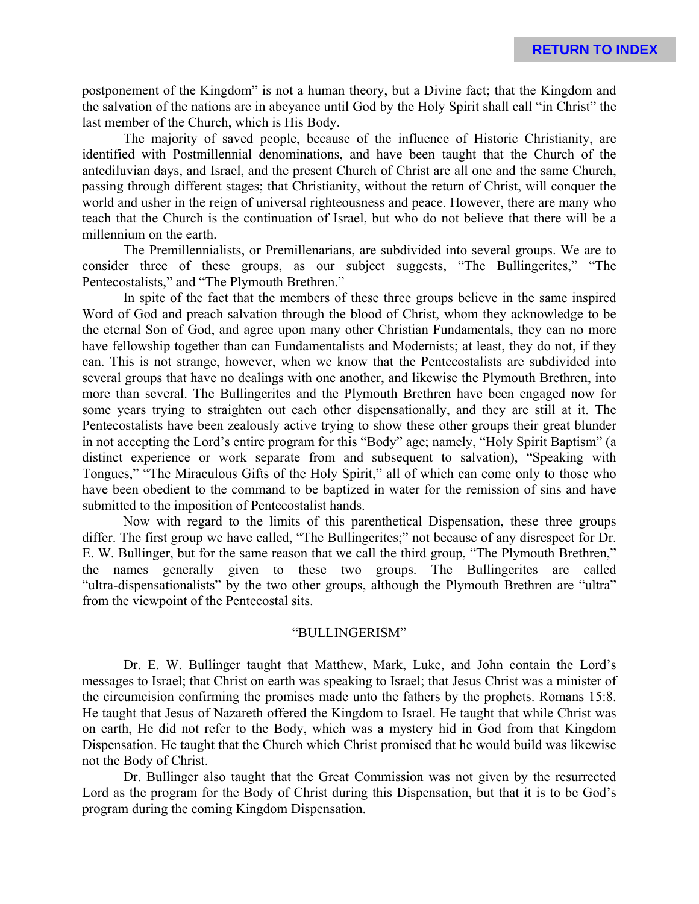postponement of the Kingdom" is not a human theory, but a Divine fact; that the Kingdom and the salvation of the nations are in abeyance until God by the Holy Spirit shall call "in Christ" the last member of the Church, which is His Body.

The majority of saved people, because of the influence of Historic Christianity, are identified with Postmillennial denominations, and have been taught that the Church of the antediluvian days, and Israel, and the present Church of Christ are all one and the same Church, passing through different stages; that Christianity, without the return of Christ, will conquer the world and usher in the reign of universal righteousness and peace. However, there are many who teach that the Church is the continuation of Israel, but who do not believe that there will be a millennium on the earth.

The Premillennialists, or Premillenarians, are subdivided into several groups. We are to consider three of these groups, as our subject suggests, "The Bullingerites," "The Pentecostalists," and "The Plymouth Brethren."

In spite of the fact that the members of these three groups believe in the same inspired Word of God and preach salvation through the blood of Christ, whom they acknowledge to be the eternal Son of God, and agree upon many other Christian Fundamentals, they can no more have fellowship together than can Fundamentalists and Modernists; at least, they do not, if they can. This is not strange, however, when we know that the Pentecostalists are subdivided into several groups that have no dealings with one another, and likewise the Plymouth Brethren, into more than several. The Bullingerites and the Plymouth Brethren have been engaged now for some years trying to straighten out each other dispensationally, and they are still at it. The Pentecostalists have been zealously active trying to show these other groups their great blunder in not accepting the Lord's entire program for this "Body" age; namely, "Holy Spirit Baptism" (a distinct experience or work separate from and subsequent to salvation), "Speaking with Tongues," "The Miraculous Gifts of the Holy Spirit," all of which can come only to those who have been obedient to the command to be baptized in water for the remission of sins and have submitted to the imposition of Pentecostalist hands.

Now with regard to the limits of this parenthetical Dispensation, these three groups differ. The first group we have called, "The Bullingerites;" not because of any disrespect for Dr. E. W. Bullinger, but for the same reason that we call the third group, "The Plymouth Brethren," the names generally given to these two groups. The Bullingerites are called "ultra-dispensationalists" by the two other groups, although the Plymouth Brethren are "ultra" from the viewpoint of the Pentecostal sits.

#### "BULLINGERISM"

Dr. E. W. Bullinger taught that Matthew, Mark, Luke, and John contain the Lord's messages to Israel; that Christ on earth was speaking to Israel; that Jesus Christ was a minister of the circumcision confirming the promises made unto the fathers by the prophets. Romans 15:8. He taught that Jesus of Nazareth offered the Kingdom to Israel. He taught that while Christ was on earth, He did not refer to the Body, which was a mystery hid in God from that Kingdom Dispensation. He taught that the Church which Christ promised that he would build was likewise not the Body of Christ.

Dr. Bullinger also taught that the Great Commission was not given by the resurrected Lord as the program for the Body of Christ during this Dispensation, but that it is to be God's program during the coming Kingdom Dispensation.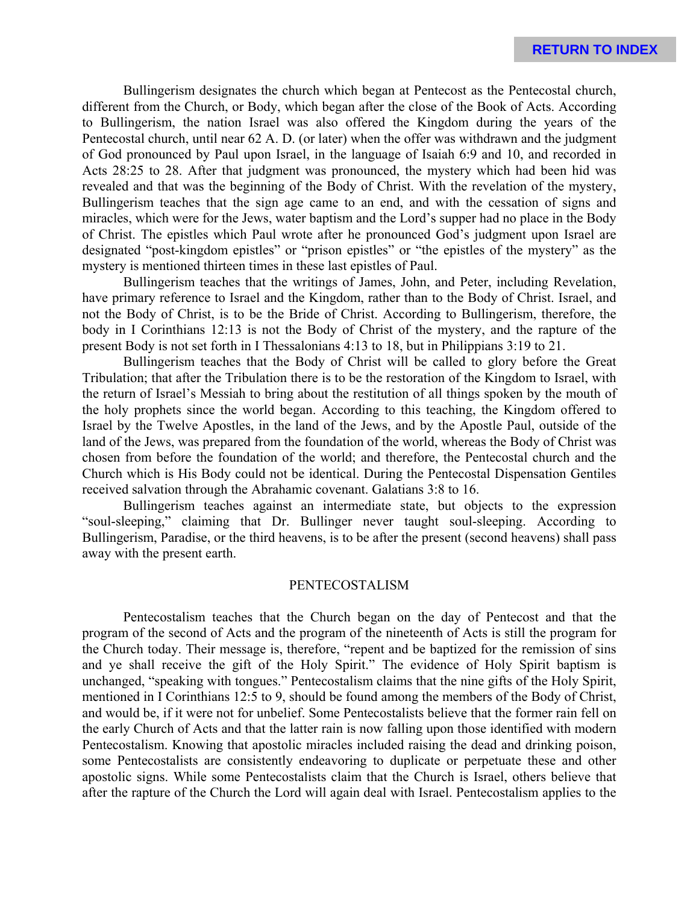Bullingerism designates the church which began at Pentecost as the Pentecostal church, different from the Church, or Body, which began after the close of the Book of Acts. According to Bullingerism, the nation Israel was also offered the Kingdom during the years of the Pentecostal church, until near 62 A. D. (or later) when the offer was withdrawn and the judgment of God pronounced by Paul upon Israel, in the language of Isaiah 6:9 and 10, and recorded in Acts 28:25 to 28. After that judgment was pronounced, the mystery which had been hid was revealed and that was the beginning of the Body of Christ. With the revelation of the mystery, Bullingerism teaches that the sign age came to an end, and with the cessation of signs and miracles, which were for the Jews, water baptism and the Lord's supper had no place in the Body of Christ. The epistles which Paul wrote after he pronounced God's judgment upon Israel are designated "post-kingdom epistles" or "prison epistles" or "the epistles of the mystery" as the mystery is mentioned thirteen times in these last epistles of Paul.

Bullingerism teaches that the writings of James, John, and Peter, including Revelation, have primary reference to Israel and the Kingdom, rather than to the Body of Christ. Israel, and not the Body of Christ, is to be the Bride of Christ. According to Bullingerism, therefore, the body in I Corinthians 12:13 is not the Body of Christ of the mystery, and the rapture of the present Body is not set forth in I Thessalonians 4:13 to 18, but in Philippians 3:19 to 21.

Bullingerism teaches that the Body of Christ will be called to glory before the Great Tribulation; that after the Tribulation there is to be the restoration of the Kingdom to Israel, with the return of Israel's Messiah to bring about the restitution of all things spoken by the mouth of the holy prophets since the world began. According to this teaching, the Kingdom offered to Israel by the Twelve Apostles, in the land of the Jews, and by the Apostle Paul, outside of the land of the Jews, was prepared from the foundation of the world, whereas the Body of Christ was chosen from before the foundation of the world; and therefore, the Pentecostal church and the Church which is His Body could not be identical. During the Pentecostal Dispensation Gentiles received salvation through the Abrahamic covenant. Galatians 3:8 to 16.

Bullingerism teaches against an intermediate state, but objects to the expression "soul-sleeping," claiming that Dr. Bullinger never taught soul-sleeping. According to Bullingerism, Paradise, or the third heavens, is to be after the present (second heavens) shall pass away with the present earth.

#### PENTECOSTALISM

Pentecostalism teaches that the Church began on the day of Pentecost and that the program of the second of Acts and the program of the nineteenth of Acts is still the program for the Church today. Their message is, therefore, "repent and be baptized for the remission of sins and ye shall receive the gift of the Holy Spirit." The evidence of Holy Spirit baptism is unchanged, "speaking with tongues." Pentecostalism claims that the nine gifts of the Holy Spirit, mentioned in I Corinthians 12:5 to 9, should be found among the members of the Body of Christ, and would be, if it were not for unbelief. Some Pentecostalists believe that the former rain fell on the early Church of Acts and that the latter rain is now falling upon those identified with modern Pentecostalism. Knowing that apostolic miracles included raising the dead and drinking poison, some Pentecostalists are consistently endeavoring to duplicate or perpetuate these and other apostolic signs. While some Pentecostalists claim that the Church is Israel, others believe that after the rapture of the Church the Lord will again deal with Israel. Pentecostalism applies to the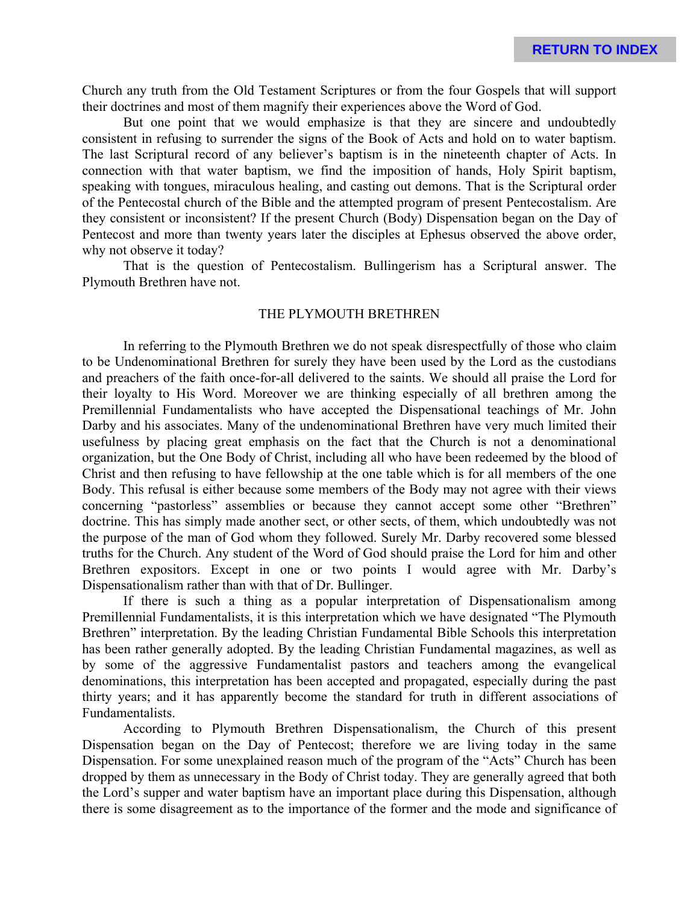Church any truth from the Old Testament Scriptures or from the four Gospels that will support their doctrines and most of them magnify their experiences above the Word of God.

But one point that we would emphasize is that they are sincere and undoubtedly consistent in refusing to surrender the signs of the Book of Acts and hold on to water baptism. The last Scriptural record of any believer's baptism is in the nineteenth chapter of Acts. In connection with that water baptism, we find the imposition of hands, Holy Spirit baptism, speaking with tongues, miraculous healing, and casting out demons. That is the Scriptural order of the Pentecostal church of the Bible and the attempted program of present Pentecostalism. Are they consistent or inconsistent? If the present Church (Body) Dispensation began on the Day of Pentecost and more than twenty years later the disciples at Ephesus observed the above order, why not observe it today?

That is the question of Pentecostalism. Bullingerism has a Scriptural answer. The Plymouth Brethren have not.

### THE PLYMOUTH BRETHREN

In referring to the Plymouth Brethren we do not speak disrespectfully of those who claim to be Undenominational Brethren for surely they have been used by the Lord as the custodians and preachers of the faith once-for-all delivered to the saints. We should all praise the Lord for their loyalty to His Word. Moreover we are thinking especially of all brethren among the Premillennial Fundamentalists who have accepted the Dispensational teachings of Mr. John Darby and his associates. Many of the undenominational Brethren have very much limited their usefulness by placing great emphasis on the fact that the Church is not a denominational organization, but the One Body of Christ, including all who have been redeemed by the blood of Christ and then refusing to have fellowship at the one table which is for all members of the one Body. This refusal is either because some members of the Body may not agree with their views concerning "pastorless" assemblies or because they cannot accept some other "Brethren" doctrine. This has simply made another sect, or other sects, of them, which undoubtedly was not the purpose of the man of God whom they followed. Surely Mr. Darby recovered some blessed truths for the Church. Any student of the Word of God should praise the Lord for him and other Brethren expositors. Except in one or two points I would agree with Mr. Darby's Dispensationalism rather than with that of Dr. Bullinger.

If there is such a thing as a popular interpretation of Dispensationalism among Premillennial Fundamentalists, it is this interpretation which we have designated "The Plymouth Brethren" interpretation. By the leading Christian Fundamental Bible Schools this interpretation has been rather generally adopted. By the leading Christian Fundamental magazines, as well as by some of the aggressive Fundamentalist pastors and teachers among the evangelical denominations, this interpretation has been accepted and propagated, especially during the past thirty years; and it has apparently become the standard for truth in different associations of Fundamentalists.

According to Plymouth Brethren Dispensationalism, the Church of this present Dispensation began on the Day of Pentecost; therefore we are living today in the same Dispensation. For some unexplained reason much of the program of the "Acts" Church has been dropped by them as unnecessary in the Body of Christ today. They are generally agreed that both the Lord's supper and water baptism have an important place during this Dispensation, although there is some disagreement as to the importance of the former and the mode and significance of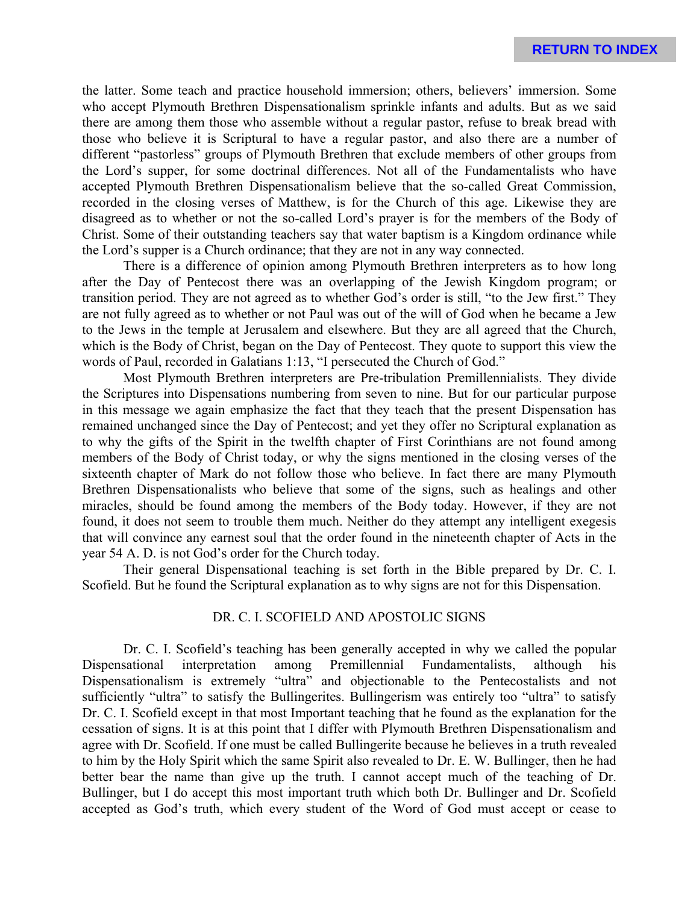the latter. Some teach and practice household immersion; others, believers' immersion. Some who accept Plymouth Brethren Dispensationalism sprinkle infants and adults. But as we said there are among them those who assemble without a regular pastor, refuse to break bread with those who believe it is Scriptural to have a regular pastor, and also there are a number of different "pastorless" groups of Plymouth Brethren that exclude members of other groups from the Lord's supper, for some doctrinal differences. Not all of the Fundamentalists who have accepted Plymouth Brethren Dispensationalism believe that the so-called Great Commission, recorded in the closing verses of Matthew, is for the Church of this age. Likewise they are disagreed as to whether or not the so-called Lord's prayer is for the members of the Body of Christ. Some of their outstanding teachers say that water baptism is a Kingdom ordinance while the Lord's supper is a Church ordinance; that they are not in any way connected.

There is a difference of opinion among Plymouth Brethren interpreters as to how long after the Day of Pentecost there was an overlapping of the Jewish Kingdom program; or transition period. They are not agreed as to whether God's order is still, "to the Jew first." They are not fully agreed as to whether or not Paul was out of the will of God when he became a Jew to the Jews in the temple at Jerusalem and elsewhere. But they are all agreed that the Church, which is the Body of Christ, began on the Day of Pentecost. They quote to support this view the words of Paul, recorded in Galatians 1:13, "I persecuted the Church of God."

Most Plymouth Brethren interpreters are Pre-tribulation Premillennialists. They divide the Scriptures into Dispensations numbering from seven to nine. But for our particular purpose in this message we again emphasize the fact that they teach that the present Dispensation has remained unchanged since the Day of Pentecost; and yet they offer no Scriptural explanation as to why the gifts of the Spirit in the twelfth chapter of First Corinthians are not found among members of the Body of Christ today, or why the signs mentioned in the closing verses of the sixteenth chapter of Mark do not follow those who believe. In fact there are many Plymouth Brethren Dispensationalists who believe that some of the signs, such as healings and other miracles, should be found among the members of the Body today. However, if they are not found, it does not seem to trouble them much. Neither do they attempt any intelligent exegesis that will convince any earnest soul that the order found in the nineteenth chapter of Acts in the year 54 A. D. is not God's order for the Church today.

Their general Dispensational teaching is set forth in the Bible prepared by Dr. C. I. Scofield. But he found the Scriptural explanation as to why signs are not for this Dispensation.

## DR. C. I. SCOFIELD AND APOSTOLIC SIGNS

Dr. C. I. Scofield's teaching has been generally accepted in why we called the popular Dispensational interpretation among Premillennial Fundamentalists, although his Dispensationalism is extremely "ultra" and objectionable to the Pentecostalists and not sufficiently "ultra" to satisfy the Bullingerites. Bullingerism was entirely too "ultra" to satisfy Dr. C. I. Scofield except in that most Important teaching that he found as the explanation for the cessation of signs. It is at this point that I differ with Plymouth Brethren Dispensationalism and agree with Dr. Scofield. If one must be called Bullingerite because he believes in a truth revealed to him by the Holy Spirit which the same Spirit also revealed to Dr. E. W. Bullinger, then he had better bear the name than give up the truth. I cannot accept much of the teaching of Dr. Bullinger, but I do accept this most important truth which both Dr. Bullinger and Dr. Scofield accepted as God's truth, which every student of the Word of God must accept or cease to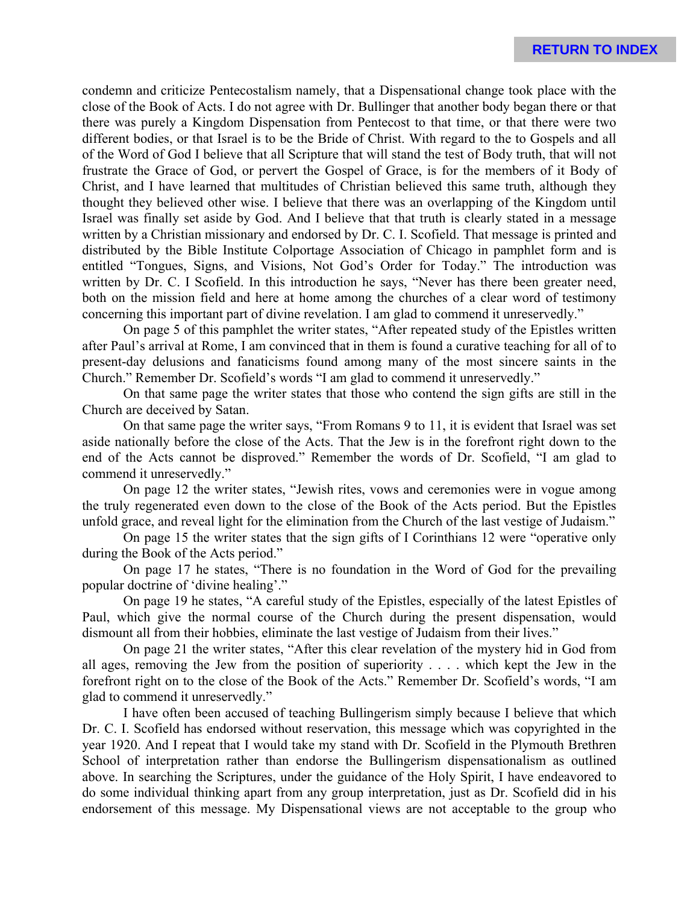condemn and criticize Pentecostalism namely, that a Dispensational change took place with the close of the Book of Acts. I do not agree with Dr. Bullinger that another body began there or that there was purely a Kingdom Dispensation from Pentecost to that time, or that there were two different bodies, or that Israel is to be the Bride of Christ. With regard to the to Gospels and all of the Word of God I believe that all Scripture that will stand the test of Body truth, that will not frustrate the Grace of God, or pervert the Gospel of Grace, is for the members of it Body of Christ, and I have learned that multitudes of Christian believed this same truth, although they thought they believed other wise. I believe that there was an overlapping of the Kingdom until Israel was finally set aside by God. And I believe that that truth is clearly stated in a message written by a Christian missionary and endorsed by Dr. C. I. Scofield. That message is printed and distributed by the Bible Institute Colportage Association of Chicago in pamphlet form and is entitled "Tongues, Signs, and Visions, Not God's Order for Today." The introduction was written by Dr. C. I Scofield. In this introduction he says, "Never has there been greater need, both on the mission field and here at home among the churches of a clear word of testimony concerning this important part of divine revelation. I am glad to commend it unreservedly."

On page 5 of this pamphlet the writer states, "After repeated study of the Epistles written after Paul's arrival at Rome, I am convinced that in them is found a curative teaching for all of to present-day delusions and fanaticisms found among many of the most sincere saints in the Church." Remember Dr. Scofield's words "I am glad to commend it unreservedly."

On that same page the writer states that those who contend the sign gifts are still in the Church are deceived by Satan.

On that same page the writer says, "From Romans 9 to 11, it is evident that Israel was set aside nationally before the close of the Acts. That the Jew is in the forefront right down to the end of the Acts cannot be disproved." Remember the words of Dr. Scofield, "I am glad to commend it unreservedly."

On page 12 the writer states, "Jewish rites, vows and ceremonies were in vogue among the truly regenerated even down to the close of the Book of the Acts period. But the Epistles unfold grace, and reveal light for the elimination from the Church of the last vestige of Judaism."

On page 15 the writer states that the sign gifts of I Corinthians 12 were "operative only during the Book of the Acts period."

On page 17 he states, "There is no foundation in the Word of God for the prevailing popular doctrine of 'divine healing'."

On page 19 he states, "A careful study of the Epistles, especially of the latest Epistles of Paul, which give the normal course of the Church during the present dispensation, would dismount all from their hobbies, eliminate the last vestige of Judaism from their lives."

On page 21 the writer states, "After this clear revelation of the mystery hid in God from all ages, removing the Jew from the position of superiority . . . . which kept the Jew in the forefront right on to the close of the Book of the Acts." Remember Dr. Scofield's words, "I am glad to commend it unreservedly."

I have often been accused of teaching Bullingerism simply because I believe that which Dr. C. I. Scofield has endorsed without reservation, this message which was copyrighted in the year 1920. And I repeat that I would take my stand with Dr. Scofield in the Plymouth Brethren School of interpretation rather than endorse the Bullingerism dispensationalism as outlined above. In searching the Scriptures, under the guidance of the Holy Spirit, I have endeavored to do some individual thinking apart from any group interpretation, just as Dr. Scofield did in his endorsement of this message. My Dispensational views are not acceptable to the group who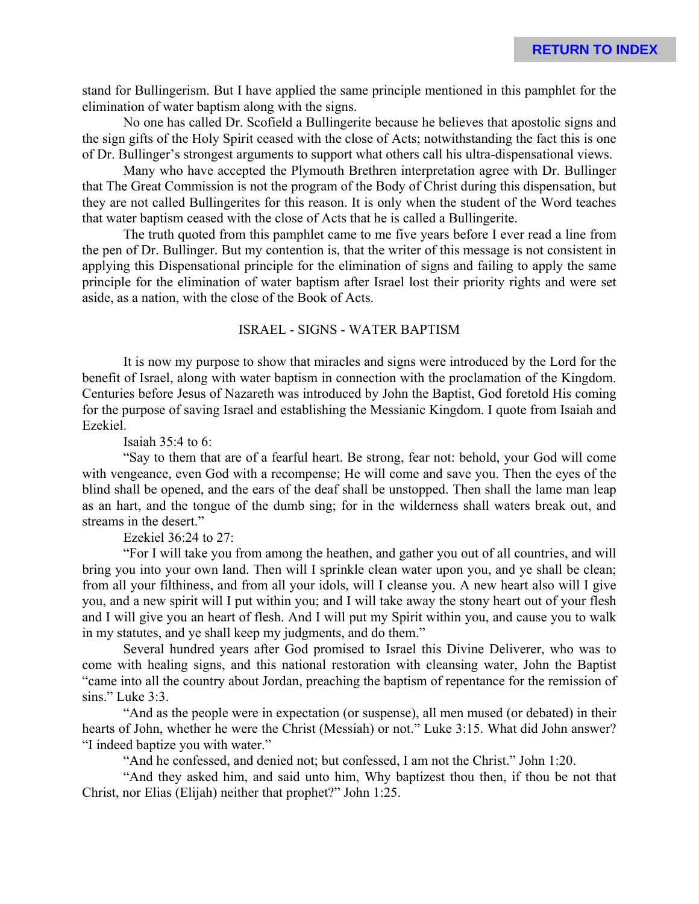stand for Bullingerism. But I have applied the same principle mentioned in this pamphlet for the elimination of water baptism along with the signs.

No one has called Dr. Scofield a Bullingerite because he believes that apostolic signs and the sign gifts of the Holy Spirit ceased with the close of Acts; notwithstanding the fact this is one of Dr. Bullinger's strongest arguments to support what others call his ultra-dispensational views.

Many who have accepted the Plymouth Brethren interpretation agree with Dr. Bullinger that The Great Commission is not the program of the Body of Christ during this dispensation, but they are not called Bullingerites for this reason. It is only when the student of the Word teaches that water baptism ceased with the close of Acts that he is called a Bullingerite.

The truth quoted from this pamphlet came to me five years before I ever read a line from the pen of Dr. Bullinger. But my contention is, that the writer of this message is not consistent in applying this Dispensational principle for the elimination of signs and failing to apply the same principle for the elimination of water baptism after Israel lost their priority rights and were set aside, as a nation, with the close of the Book of Acts.

### ISRAEL - SIGNS - WATER BAPTISM

It is now my purpose to show that miracles and signs were introduced by the Lord for the benefit of Israel, along with water baptism in connection with the proclamation of the Kingdom. Centuries before Jesus of Nazareth was introduced by John the Baptist, God foretold His coming for the purpose of saving Israel and establishing the Messianic Kingdom. I quote from Isaiah and Ezekiel.

Isaiah 35:4 to 6:

"Say to them that are of a fearful heart. Be strong, fear not: behold, your God will come with vengeance, even God with a recompense; He will come and save you. Then the eyes of the blind shall be opened, and the ears of the deaf shall be unstopped. Then shall the lame man leap as an hart, and the tongue of the dumb sing; for in the wilderness shall waters break out, and streams in the desert."

Ezekiel 36:24 to 27:

"For I will take you from among the heathen, and gather you out of all countries, and will bring you into your own land. Then will I sprinkle clean water upon you, and ye shall be clean; from all your filthiness, and from all your idols, will I cleanse you. A new heart also will I give you, and a new spirit will I put within you; and I will take away the stony heart out of your flesh and I will give you an heart of flesh. And I will put my Spirit within you, and cause you to walk in my statutes, and ye shall keep my judgments, and do them."

Several hundred years after God promised to Israel this Divine Deliverer, who was to come with healing signs, and this national restoration with cleansing water, John the Baptist "came into all the country about Jordan, preaching the baptism of repentance for the remission of sins." Luke 3:3.

"And as the people were in expectation (or suspense), all men mused (or debated) in their hearts of John, whether he were the Christ (Messiah) or not." Luke 3:15. What did John answer? "I indeed baptize you with water."

"And he confessed, and denied not; but confessed, I am not the Christ." John 1:20.

"And they asked him, and said unto him, Why baptizest thou then, if thou be not that Christ, nor Elias (Elijah) neither that prophet?" John 1:25.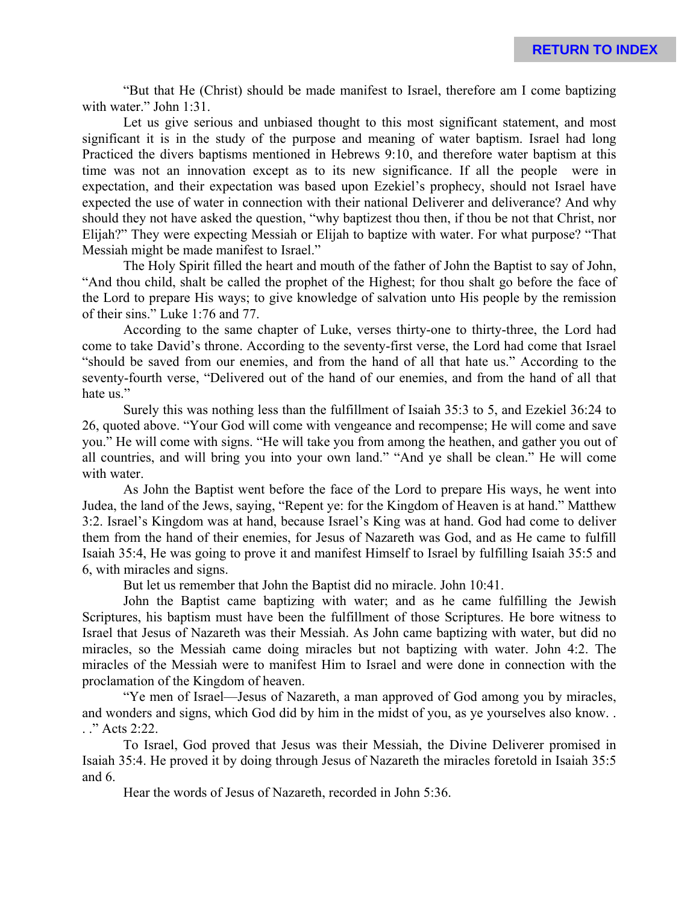"But that He (Christ) should be made manifest to Israel, therefore am I come baptizing with water." John 1:31.

Let us give serious and unbiased thought to this most significant statement, and most significant it is in the study of the purpose and meaning of water baptism. Israel had long Practiced the divers baptisms mentioned in Hebrews 9:10, and therefore water baptism at this time was not an innovation except as to its new significance. If all the people were in expectation, and their expectation was based upon Ezekiel's prophecy, should not Israel have expected the use of water in connection with their national Deliverer and deliverance? And why should they not have asked the question, "why baptizest thou then, if thou be not that Christ, nor Elijah?" They were expecting Messiah or Elijah to baptize with water. For what purpose? "That Messiah might be made manifest to Israel."

The Holy Spirit filled the heart and mouth of the father of John the Baptist to say of John, "And thou child, shalt be called the prophet of the Highest; for thou shalt go before the face of the Lord to prepare His ways; to give knowledge of salvation unto His people by the remission of their sins." Luke 1:76 and 77.

According to the same chapter of Luke, verses thirty-one to thirty-three, the Lord had come to take David's throne. According to the seventy-first verse, the Lord had come that Israel "should be saved from our enemies, and from the hand of all that hate us." According to the seventy-fourth verse, "Delivered out of the hand of our enemies, and from the hand of all that hate us."

Surely this was nothing less than the fulfillment of Isaiah 35:3 to 5, and Ezekiel 36:24 to 26, quoted above. "Your God will come with vengeance and recompense; He will come and save you." He will come with signs. "He will take you from among the heathen, and gather you out of all countries, and will bring you into your own land." "And ye shall be clean." He will come with water.

As John the Baptist went before the face of the Lord to prepare His ways, he went into Judea, the land of the Jews, saying, "Repent ye: for the Kingdom of Heaven is at hand." Matthew 3:2. Israel's Kingdom was at hand, because Israel's King was at hand. God had come to deliver them from the hand of their enemies, for Jesus of Nazareth was God, and as He came to fulfill Isaiah 35:4, He was going to prove it and manifest Himself to Israel by fulfilling Isaiah 35:5 and 6, with miracles and signs.

But let us remember that John the Baptist did no miracle. John 10:41.

John the Baptist came baptizing with water; and as he came fulfilling the Jewish Scriptures, his baptism must have been the fulfillment of those Scriptures. He bore witness to Israel that Jesus of Nazareth was their Messiah. As John came baptizing with water, but did no miracles, so the Messiah came doing miracles but not baptizing with water. John 4:2. The miracles of the Messiah were to manifest Him to Israel and were done in connection with the proclamation of the Kingdom of heaven.

"Ye men of Israel—Jesus of Nazareth, a man approved of God among you by miracles, and wonders and signs, which God did by him in the midst of you, as ye yourselves also know. . . ." Acts 2:22.

To Israel, God proved that Jesus was their Messiah, the Divine Deliverer promised in Isaiah 35:4. He proved it by doing through Jesus of Nazareth the miracles foretold in Isaiah 35:5 and 6.

Hear the words of Jesus of Nazareth, recorded in John 5:36.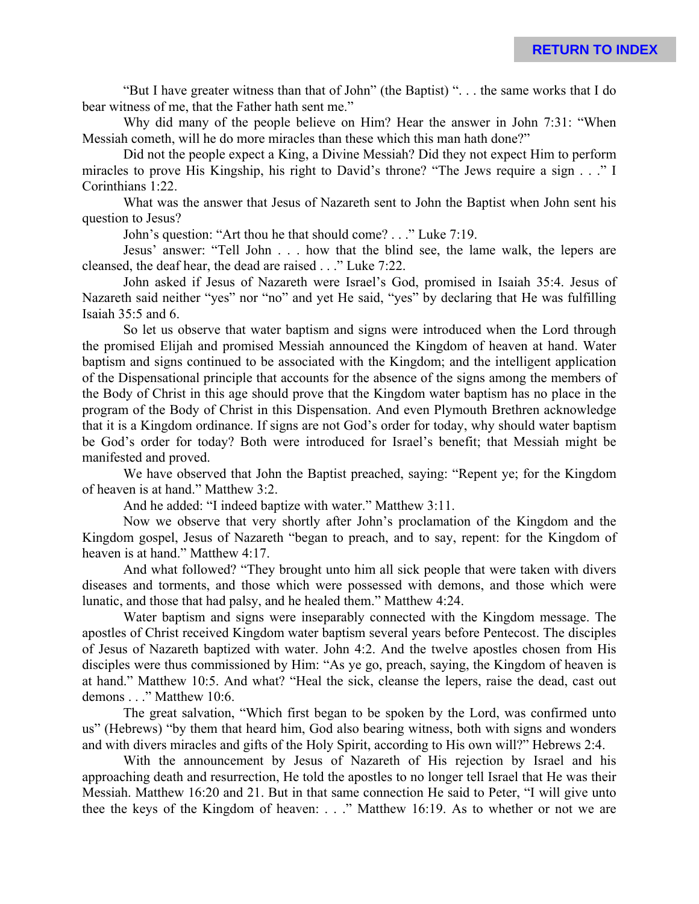"But I have greater witness than that of John" (the Baptist) ". . . the same works that I do bear witness of me, that the Father hath sent me."

Why did many of the people believe on Him? Hear the answer in John 7:31: "When Messiah cometh, will he do more miracles than these which this man hath done?"

Did not the people expect a King, a Divine Messiah? Did they not expect Him to perform miracles to prove His Kingship, his right to David's throne? "The Jews require a sign . . ." I Corinthians 1:22.

What was the answer that Jesus of Nazareth sent to John the Baptist when John sent his question to Jesus?

John's question: "Art thou he that should come? . . ." Luke 7:19.

Jesus' answer: "Tell John . . . how that the blind see, the lame walk, the lepers are cleansed, the deaf hear, the dead are raised . . ." Luke 7:22.

John asked if Jesus of Nazareth were Israel's God, promised in Isaiah 35:4. Jesus of Nazareth said neither "yes" nor "no" and yet He said, "yes" by declaring that He was fulfilling Isaiah 35:5 and 6.

So let us observe that water baptism and signs were introduced when the Lord through the promised Elijah and promised Messiah announced the Kingdom of heaven at hand. Water baptism and signs continued to be associated with the Kingdom; and the intelligent application of the Dispensational principle that accounts for the absence of the signs among the members of the Body of Christ in this age should prove that the Kingdom water baptism has no place in the program of the Body of Christ in this Dispensation. And even Plymouth Brethren acknowledge that it is a Kingdom ordinance. If signs are not God's order for today, why should water baptism be God's order for today? Both were introduced for Israel's benefit; that Messiah might be manifested and proved.

We have observed that John the Baptist preached, saying: "Repent ye; for the Kingdom of heaven is at hand." Matthew 3:2.

And he added: "I indeed baptize with water." Matthew 3:11.

Now we observe that very shortly after John's proclamation of the Kingdom and the Kingdom gospel, Jesus of Nazareth "began to preach, and to say, repent: for the Kingdom of heaven is at hand." Matthew 4:17.

And what followed? "They brought unto him all sick people that were taken with divers diseases and torments, and those which were possessed with demons, and those which were lunatic, and those that had palsy, and he healed them." Matthew 4:24.

Water baptism and signs were inseparably connected with the Kingdom message. The apostles of Christ received Kingdom water baptism several years before Pentecost. The disciples of Jesus of Nazareth baptized with water. John 4:2. And the twelve apostles chosen from His disciples were thus commissioned by Him: "As ye go, preach, saying, the Kingdom of heaven is at hand." Matthew 10:5. And what? "Heal the sick, cleanse the lepers, raise the dead, cast out demons . . ." Matthew 10:6.

The great salvation, "Which first began to be spoken by the Lord, was confirmed unto us" (Hebrews) "by them that heard him, God also bearing witness, both with signs and wonders and with divers miracles and gifts of the Holy Spirit, according to His own will?" Hebrews 2:4.

With the announcement by Jesus of Nazareth of His rejection by Israel and his approaching death and resurrection, He told the apostles to no longer tell Israel that He was their Messiah. Matthew 16:20 and 21. But in that same connection He said to Peter, "I will give unto thee the keys of the Kingdom of heaven: . . ." Matthew 16:19. As to whether or not we are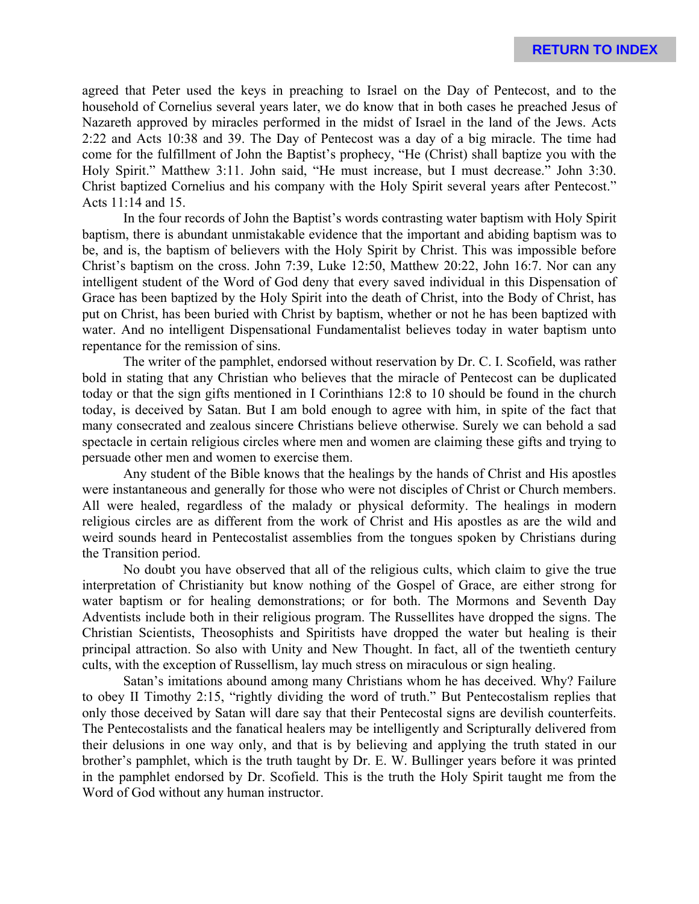agreed that Peter used the keys in preaching to Israel on the Day of Pentecost, and to the household of Cornelius several years later, we do know that in both cases he preached Jesus of Nazareth approved by miracles performed in the midst of Israel in the land of the Jews. Acts 2:22 and Acts 10:38 and 39. The Day of Pentecost was a day of a big miracle. The time had come for the fulfillment of John the Baptist's prophecy, "He (Christ) shall baptize you with the Holy Spirit." Matthew 3:11. John said, "He must increase, but I must decrease." John 3:30. Christ baptized Cornelius and his company with the Holy Spirit several years after Pentecost." Acts 11:14 and 15.

In the four records of John the Baptist's words contrasting water baptism with Holy Spirit baptism, there is abundant unmistakable evidence that the important and abiding baptism was to be, and is, the baptism of believers with the Holy Spirit by Christ. This was impossible before Christ's baptism on the cross. John 7:39, Luke 12:50, Matthew 20:22, John 16:7. Nor can any intelligent student of the Word of God deny that every saved individual in this Dispensation of Grace has been baptized by the Holy Spirit into the death of Christ, into the Body of Christ, has put on Christ, has been buried with Christ by baptism, whether or not he has been baptized with water. And no intelligent Dispensational Fundamentalist believes today in water baptism unto repentance for the remission of sins.

The writer of the pamphlet, endorsed without reservation by Dr. C. I. Scofield, was rather bold in stating that any Christian who believes that the miracle of Pentecost can be duplicated today or that the sign gifts mentioned in I Corinthians 12:8 to 10 should be found in the church today, is deceived by Satan. But I am bold enough to agree with him, in spite of the fact that many consecrated and zealous sincere Christians believe otherwise. Surely we can behold a sad spectacle in certain religious circles where men and women are claiming these gifts and trying to persuade other men and women to exercise them.

Any student of the Bible knows that the healings by the hands of Christ and His apostles were instantaneous and generally for those who were not disciples of Christ or Church members. All were healed, regardless of the malady or physical deformity. The healings in modern religious circles are as different from the work of Christ and His apostles as are the wild and weird sounds heard in Pentecostalist assemblies from the tongues spoken by Christians during the Transition period.

No doubt you have observed that all of the religious cults, which claim to give the true interpretation of Christianity but know nothing of the Gospel of Grace, are either strong for water baptism or for healing demonstrations; or for both. The Mormons and Seventh Day Adventists include both in their religious program. The Russellites have dropped the signs. The Christian Scientists, Theosophists and Spiritists have dropped the water but healing is their principal attraction. So also with Unity and New Thought. In fact, all of the twentieth century cults, with the exception of Russellism, lay much stress on miraculous or sign healing.

Satan's imitations abound among many Christians whom he has deceived. Why? Failure to obey II Timothy 2:15, "rightly dividing the word of truth." But Pentecostalism replies that only those deceived by Satan will dare say that their Pentecostal signs are devilish counterfeits. The Pentecostalists and the fanatical healers may be intelligently and Scripturally delivered from their delusions in one way only, and that is by believing and applying the truth stated in our brother's pamphlet, which is the truth taught by Dr. E. W. Bullinger years before it was printed in the pamphlet endorsed by Dr. Scofield. This is the truth the Holy Spirit taught me from the Word of God without any human instructor.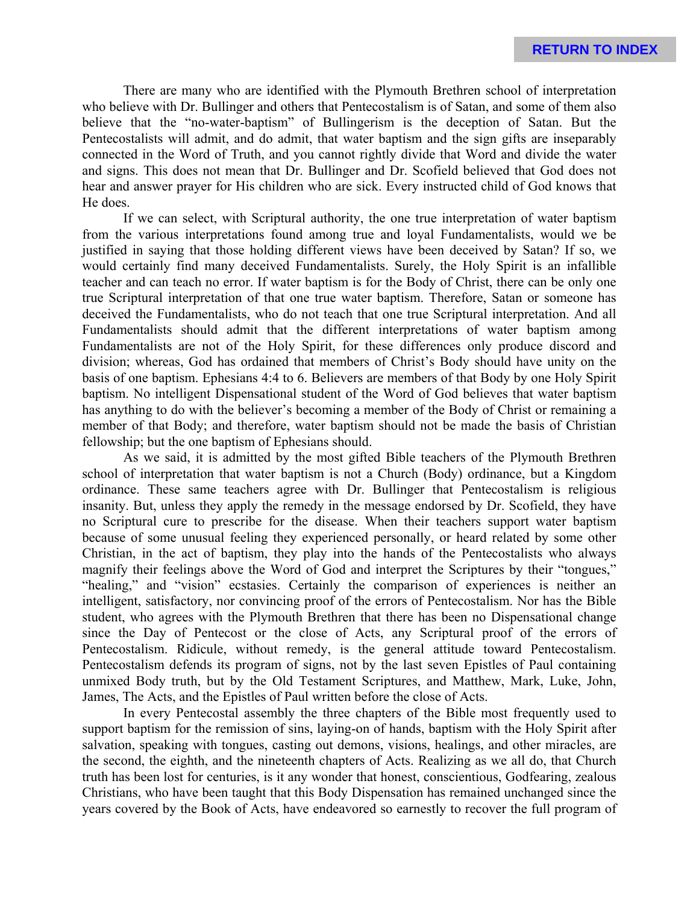There are many who are identified with the Plymouth Brethren school of interpretation who believe with Dr. Bullinger and others that Pentecostalism is of Satan, and some of them also believe that the "no-water-baptism" of Bullingerism is the deception of Satan. But the Pentecostalists will admit, and do admit, that water baptism and the sign gifts are inseparably connected in the Word of Truth, and you cannot rightly divide that Word and divide the water and signs. This does not mean that Dr. Bullinger and Dr. Scofield believed that God does not hear and answer prayer for His children who are sick. Every instructed child of God knows that He does.

If we can select, with Scriptural authority, the one true interpretation of water baptism from the various interpretations found among true and loyal Fundamentalists, would we be justified in saying that those holding different views have been deceived by Satan? If so, we would certainly find many deceived Fundamentalists. Surely, the Holy Spirit is an infallible teacher and can teach no error. If water baptism is for the Body of Christ, there can be only one true Scriptural interpretation of that one true water baptism. Therefore, Satan or someone has deceived the Fundamentalists, who do not teach that one true Scriptural interpretation. And all Fundamentalists should admit that the different interpretations of water baptism among Fundamentalists are not of the Holy Spirit, for these differences only produce discord and division; whereas, God has ordained that members of Christ's Body should have unity on the basis of one baptism. Ephesians 4:4 to 6. Believers are members of that Body by one Holy Spirit baptism. No intelligent Dispensational student of the Word of God believes that water baptism has anything to do with the believer's becoming a member of the Body of Christ or remaining a member of that Body; and therefore, water baptism should not be made the basis of Christian fellowship; but the one baptism of Ephesians should.

As we said, it is admitted by the most gifted Bible teachers of the Plymouth Brethren school of interpretation that water baptism is not a Church (Body) ordinance, but a Kingdom ordinance. These same teachers agree with Dr. Bullinger that Pentecostalism is religious insanity. But, unless they apply the remedy in the message endorsed by Dr. Scofield, they have no Scriptural cure to prescribe for the disease. When their teachers support water baptism because of some unusual feeling they experienced personally, or heard related by some other Christian, in the act of baptism, they play into the hands of the Pentecostalists who always magnify their feelings above the Word of God and interpret the Scriptures by their "tongues," "healing," and "vision" ecstasies. Certainly the comparison of experiences is neither an intelligent, satisfactory, nor convincing proof of the errors of Pentecostalism. Nor has the Bible student, who agrees with the Plymouth Brethren that there has been no Dispensational change since the Day of Pentecost or the close of Acts, any Scriptural proof of the errors of Pentecostalism. Ridicule, without remedy, is the general attitude toward Pentecostalism. Pentecostalism defends its program of signs, not by the last seven Epistles of Paul containing unmixed Body truth, but by the Old Testament Scriptures, and Matthew, Mark, Luke, John, James, The Acts, and the Epistles of Paul written before the close of Acts.

In every Pentecostal assembly the three chapters of the Bible most frequently used to support baptism for the remission of sins, laying-on of hands, baptism with the Holy Spirit after salvation, speaking with tongues, casting out demons, visions, healings, and other miracles, are the second, the eighth, and the nineteenth chapters of Acts. Realizing as we all do, that Church truth has been lost for centuries, is it any wonder that honest, conscientious, Godfearing, zealous Christians, who have been taught that this Body Dispensation has remained unchanged since the years covered by the Book of Acts, have endeavored so earnestly to recover the full program of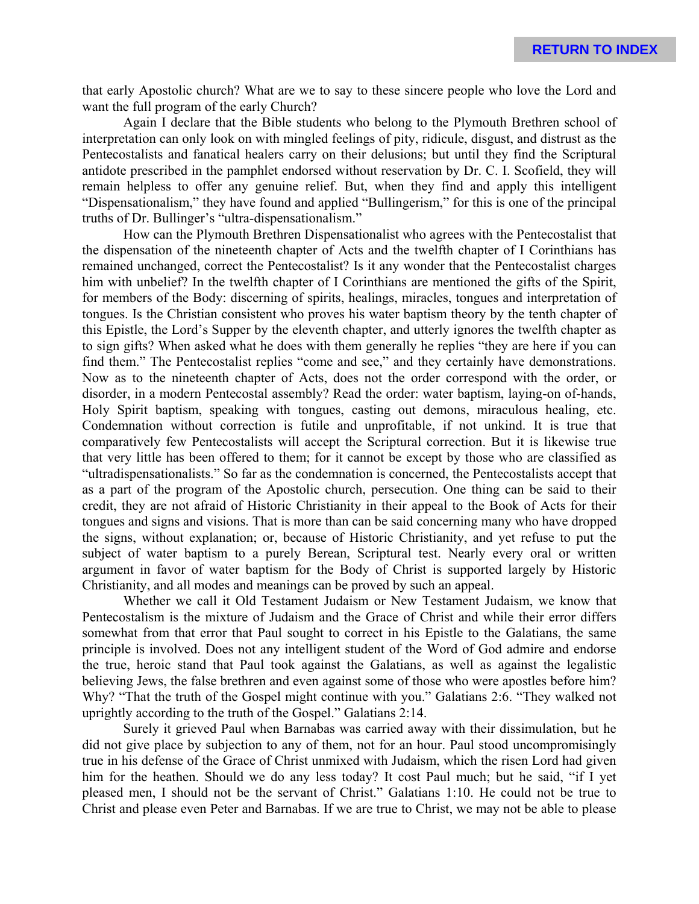that early Apostolic church? What are we to say to these sincere people who love the Lord and want the full program of the early Church?

Again I declare that the Bible students who belong to the Plymouth Brethren school of interpretation can only look on with mingled feelings of pity, ridicule, disgust, and distrust as the Pentecostalists and fanatical healers carry on their delusions; but until they find the Scriptural antidote prescribed in the pamphlet endorsed without reservation by Dr. C. I. Scofield, they will remain helpless to offer any genuine relief. But, when they find and apply this intelligent "Dispensationalism," they have found and applied "Bullingerism," for this is one of the principal truths of Dr. Bullinger's "ultra-dispensationalism."

How can the Plymouth Brethren Dispensationalist who agrees with the Pentecostalist that the dispensation of the nineteenth chapter of Acts and the twelfth chapter of I Corinthians has remained unchanged, correct the Pentecostalist? Is it any wonder that the Pentecostalist charges him with unbelief? In the twelfth chapter of I Corinthians are mentioned the gifts of the Spirit, for members of the Body: discerning of spirits, healings, miracles, tongues and interpretation of tongues. Is the Christian consistent who proves his water baptism theory by the tenth chapter of this Epistle, the Lord's Supper by the eleventh chapter, and utterly ignores the twelfth chapter as to sign gifts? When asked what he does with them generally he replies "they are here if you can find them." The Pentecostalist replies "come and see," and they certainly have demonstrations. Now as to the nineteenth chapter of Acts, does not the order correspond with the order, or disorder, in a modern Pentecostal assembly? Read the order: water baptism, laying-on of-hands, Holy Spirit baptism, speaking with tongues, casting out demons, miraculous healing, etc. Condemnation without correction is futile and unprofitable, if not unkind. It is true that comparatively few Pentecostalists will accept the Scriptural correction. But it is likewise true that very little has been offered to them; for it cannot be except by those who are classified as "ultradispensationalists." So far as the condemnation is concerned, the Pentecostalists accept that as a part of the program of the Apostolic church, persecution. One thing can be said to their credit, they are not afraid of Historic Christianity in their appeal to the Book of Acts for their tongues and signs and visions. That is more than can be said concerning many who have dropped the signs, without explanation; or, because of Historic Christianity, and yet refuse to put the subject of water baptism to a purely Berean, Scriptural test. Nearly every oral or written argument in favor of water baptism for the Body of Christ is supported largely by Historic Christianity, and all modes and meanings can be proved by such an appeal.

Whether we call it Old Testament Judaism or New Testament Judaism, we know that Pentecostalism is the mixture of Judaism and the Grace of Christ and while their error differs somewhat from that error that Paul sought to correct in his Epistle to the Galatians, the same principle is involved. Does not any intelligent student of the Word of God admire and endorse the true, heroic stand that Paul took against the Galatians, as well as against the legalistic believing Jews, the false brethren and even against some of those who were apostles before him? Why? "That the truth of the Gospel might continue with you." Galatians 2:6. "They walked not uprightly according to the truth of the Gospel." Galatians 2:14.

Surely it grieved Paul when Barnabas was carried away with their dissimulation, but he did not give place by subjection to any of them, not for an hour. Paul stood uncompromisingly true in his defense of the Grace of Christ unmixed with Judaism, which the risen Lord had given him for the heathen. Should we do any less today? It cost Paul much; but he said, "if I yet pleased men, I should not be the servant of Christ." Galatians 1:10. He could not be true to Christ and please even Peter and Barnabas. If we are true to Christ, we may not be able to please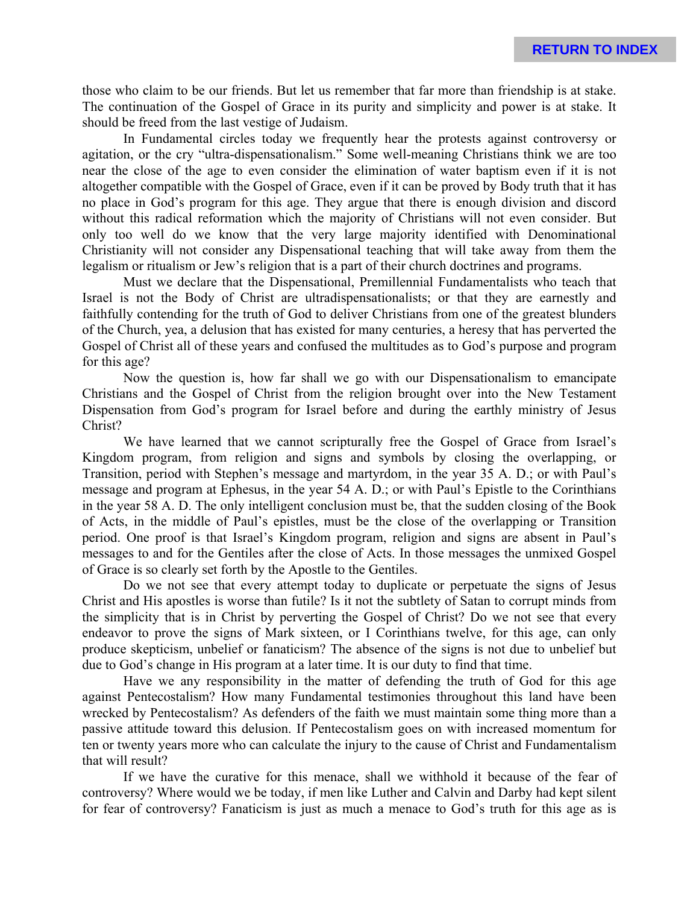those who claim to be our friends. But let us remember that far more than friendship is at stake. The continuation of the Gospel of Grace in its purity and simplicity and power is at stake. It should be freed from the last vestige of Judaism.

In Fundamental circles today we frequently hear the protests against controversy or agitation, or the cry "ultra-dispensationalism." Some well-meaning Christians think we are too near the close of the age to even consider the elimination of water baptism even if it is not altogether compatible with the Gospel of Grace, even if it can be proved by Body truth that it has no place in God's program for this age. They argue that there is enough division and discord without this radical reformation which the majority of Christians will not even consider. But only too well do we know that the very large majority identified with Denominational Christianity will not consider any Dispensational teaching that will take away from them the legalism or ritualism or Jew's religion that is a part of their church doctrines and programs.

Must we declare that the Dispensational, Premillennial Fundamentalists who teach that Israel is not the Body of Christ are ultradispensationalists; or that they are earnestly and faithfully contending for the truth of God to deliver Christians from one of the greatest blunders of the Church, yea, a delusion that has existed for many centuries, a heresy that has perverted the Gospel of Christ all of these years and confused the multitudes as to God's purpose and program for this age?

Now the question is, how far shall we go with our Dispensationalism to emancipate Christians and the Gospel of Christ from the religion brought over into the New Testament Dispensation from God's program for Israel before and during the earthly ministry of Jesus Christ?

We have learned that we cannot scripturally free the Gospel of Grace from Israel's Kingdom program, from religion and signs and symbols by closing the overlapping, or Transition, period with Stephen's message and martyrdom, in the year 35 A. D.; or with Paul's message and program at Ephesus, in the year 54 A. D.; or with Paul's Epistle to the Corinthians in the year 58 A. D. The only intelligent conclusion must be, that the sudden closing of the Book of Acts, in the middle of Paul's epistles, must be the close of the overlapping or Transition period. One proof is that Israel's Kingdom program, religion and signs are absent in Paul's messages to and for the Gentiles after the close of Acts. In those messages the unmixed Gospel of Grace is so clearly set forth by the Apostle to the Gentiles.

Do we not see that every attempt today to duplicate or perpetuate the signs of Jesus Christ and His apostles is worse than futile? Is it not the subtlety of Satan to corrupt minds from the simplicity that is in Christ by perverting the Gospel of Christ? Do we not see that every endeavor to prove the signs of Mark sixteen, or I Corinthians twelve, for this age, can only produce skepticism, unbelief or fanaticism? The absence of the signs is not due to unbelief but due to God's change in His program at a later time. It is our duty to find that time.

Have we any responsibility in the matter of defending the truth of God for this age against Pentecostalism? How many Fundamental testimonies throughout this land have been wrecked by Pentecostalism? As defenders of the faith we must maintain some thing more than a passive attitude toward this delusion. If Pentecostalism goes on with increased momentum for ten or twenty years more who can calculate the injury to the cause of Christ and Fundamentalism that will result?

If we have the curative for this menace, shall we withhold it because of the fear of controversy? Where would we be today, if men like Luther and Calvin and Darby had kept silent for fear of controversy? Fanaticism is just as much a menace to God's truth for this age as is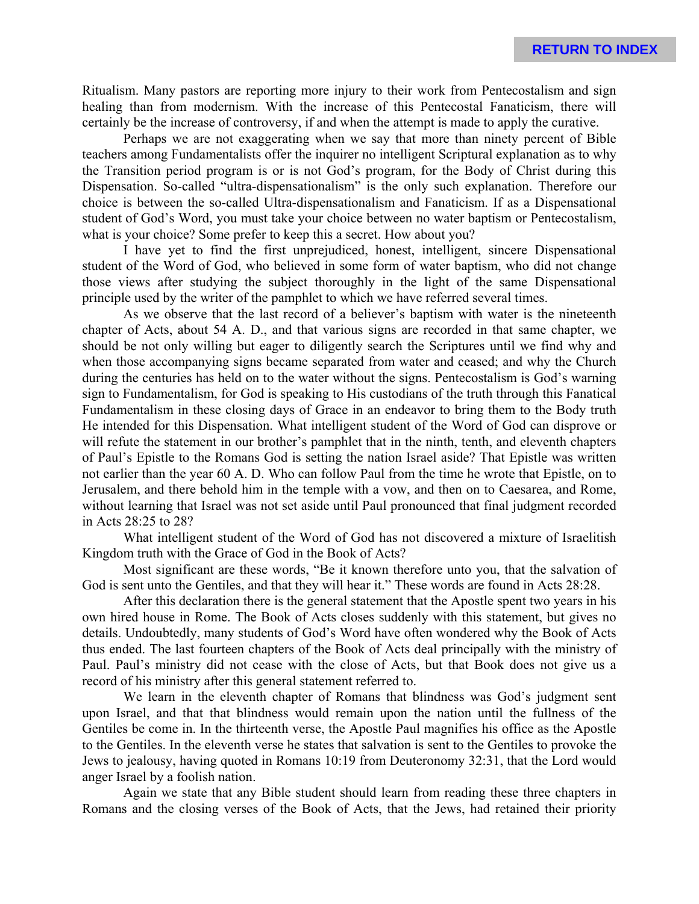Ritualism. Many pastors are reporting more injury to their work from Pentecostalism and sign healing than from modernism. With the increase of this Pentecostal Fanaticism, there will certainly be the increase of controversy, if and when the attempt is made to apply the curative.

Perhaps we are not exaggerating when we say that more than ninety percent of Bible teachers among Fundamentalists offer the inquirer no intelligent Scriptural explanation as to why the Transition period program is or is not God's program, for the Body of Christ during this Dispensation. So-called "ultra-dispensationalism" is the only such explanation. Therefore our choice is between the so-called Ultra-dispensationalism and Fanaticism. If as a Dispensational student of God's Word, you must take your choice between no water baptism or Pentecostalism, what is your choice? Some prefer to keep this a secret. How about you?

I have yet to find the first unprejudiced, honest, intelligent, sincere Dispensational student of the Word of God, who believed in some form of water baptism, who did not change those views after studying the subject thoroughly in the light of the same Dispensational principle used by the writer of the pamphlet to which we have referred several times.

As we observe that the last record of a believer's baptism with water is the nineteenth chapter of Acts, about 54 A. D., and that various signs are recorded in that same chapter, we should be not only willing but eager to diligently search the Scriptures until we find why and when those accompanying signs became separated from water and ceased; and why the Church during the centuries has held on to the water without the signs. Pentecostalism is God's warning sign to Fundamentalism, for God is speaking to His custodians of the truth through this Fanatical Fundamentalism in these closing days of Grace in an endeavor to bring them to the Body truth He intended for this Dispensation. What intelligent student of the Word of God can disprove or will refute the statement in our brother's pamphlet that in the ninth, tenth, and eleventh chapters of Paul's Epistle to the Romans God is setting the nation Israel aside? That Epistle was written not earlier than the year 60 A. D. Who can follow Paul from the time he wrote that Epistle, on to Jerusalem, and there behold him in the temple with a vow, and then on to Caesarea, and Rome, without learning that Israel was not set aside until Paul pronounced that final judgment recorded in Acts 28:25 to 28?

What intelligent student of the Word of God has not discovered a mixture of Israelitish Kingdom truth with the Grace of God in the Book of Acts?

Most significant are these words, "Be it known therefore unto you, that the salvation of God is sent unto the Gentiles, and that they will hear it." These words are found in Acts 28:28.

After this declaration there is the general statement that the Apostle spent two years in his own hired house in Rome. The Book of Acts closes suddenly with this statement, but gives no details. Undoubtedly, many students of God's Word have often wondered why the Book of Acts thus ended. The last fourteen chapters of the Book of Acts deal principally with the ministry of Paul. Paul's ministry did not cease with the close of Acts, but that Book does not give us a record of his ministry after this general statement referred to.

We learn in the eleventh chapter of Romans that blindness was God's judgment sent upon Israel, and that that blindness would remain upon the nation until the fullness of the Gentiles be come in. In the thirteenth verse, the Apostle Paul magnifies his office as the Apostle to the Gentiles. In the eleventh verse he states that salvation is sent to the Gentiles to provoke the Jews to jealousy, having quoted in Romans 10:19 from Deuteronomy 32:31, that the Lord would anger Israel by a foolish nation.

Again we state that any Bible student should learn from reading these three chapters in Romans and the closing verses of the Book of Acts, that the Jews, had retained their priority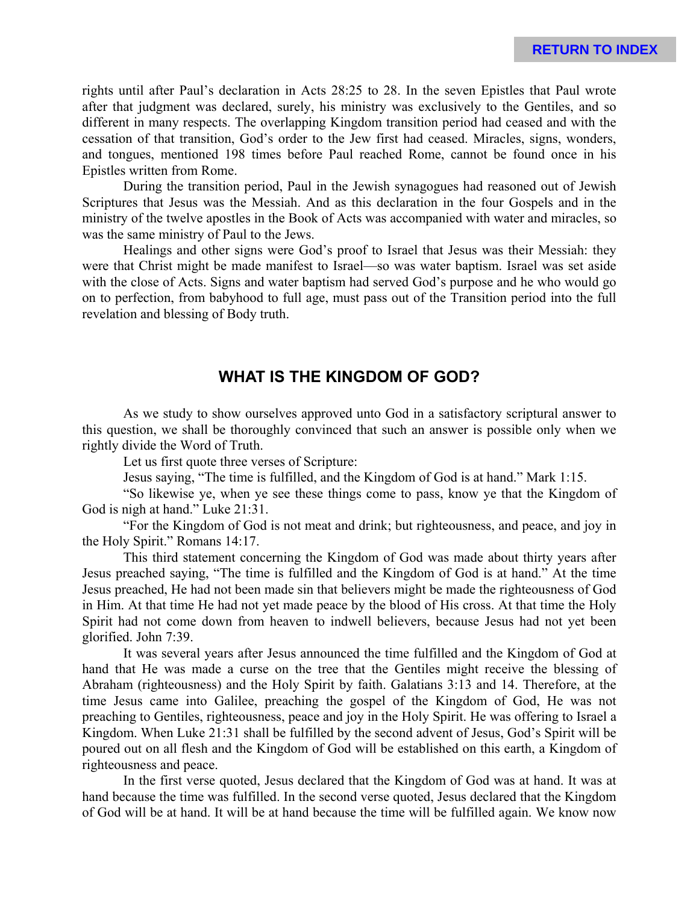rights until after Paul's declaration in Acts 28:25 to 28. In the seven Epistles that Paul wrote after that judgment was declared, surely, his ministry was exclusively to the Gentiles, and so different in many respects. The overlapping Kingdom transition period had ceased and with the cessation of that transition, God's order to the Jew first had ceased. Miracles, signs, wonders, and tongues, mentioned 198 times before Paul reached Rome, cannot be found once in his Epistles written from Rome.

During the transition period, Paul in the Jewish synagogues had reasoned out of Jewish Scriptures that Jesus was the Messiah. And as this declaration in the four Gospels and in the ministry of the twelve apostles in the Book of Acts was accompanied with water and miracles, so was the same ministry of Paul to the Jews.

Healings and other signs were God's proof to Israel that Jesus was their Messiah: they were that Christ might be made manifest to Israel—so was water baptism. Israel was set aside with the close of Acts. Signs and water baptism had served God's purpose and he who would go on to perfection, from babyhood to full age, must pass out of the Transition period into the full revelation and blessing of Body truth.

# **WHAT IS THE KINGDOM OF GOD?**

As we study to show ourselves approved unto God in a satisfactory scriptural answer to this question, we shall be thoroughly convinced that such an answer is possible only when we rightly divide the Word of Truth.

Let us first quote three verses of Scripture:

Jesus saying, "The time is fulfilled, and the Kingdom of God is at hand." Mark 1:15.

"So likewise ye, when ye see these things come to pass, know ye that the Kingdom of God is nigh at hand." Luke 21:31.

"For the Kingdom of God is not meat and drink; but righteousness, and peace, and joy in the Holy Spirit." Romans 14:17.

This third statement concerning the Kingdom of God was made about thirty years after Jesus preached saying, "The time is fulfilled and the Kingdom of God is at hand." At the time Jesus preached, He had not been made sin that believers might be made the righteousness of God in Him. At that time He had not yet made peace by the blood of His cross. At that time the Holy Spirit had not come down from heaven to indwell believers, because Jesus had not yet been glorified. John 7:39.

It was several years after Jesus announced the time fulfilled and the Kingdom of God at hand that He was made a curse on the tree that the Gentiles might receive the blessing of Abraham (righteousness) and the Holy Spirit by faith. Galatians 3:13 and 14. Therefore, at the time Jesus came into Galilee, preaching the gospel of the Kingdom of God, He was not preaching to Gentiles, righteousness, peace and joy in the Holy Spirit. He was offering to Israel a Kingdom. When Luke 21:31 shall be fulfilled by the second advent of Jesus, God's Spirit will be poured out on all flesh and the Kingdom of God will be established on this earth, a Kingdom of righteousness and peace.

In the first verse quoted, Jesus declared that the Kingdom of God was at hand. It was at hand because the time was fulfilled. In the second verse quoted, Jesus declared that the Kingdom of God will be at hand. It will be at hand because the time will be fulfilled again. We know now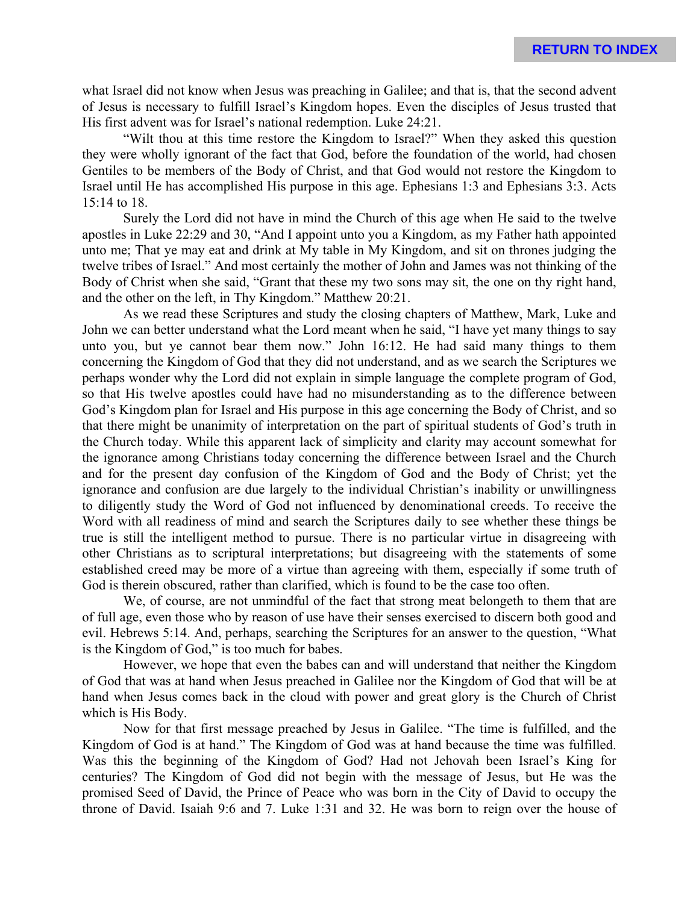what Israel did not know when Jesus was preaching in Galilee; and that is, that the second advent of Jesus is necessary to fulfill Israel's Kingdom hopes. Even the disciples of Jesus trusted that His first advent was for Israel's national redemption. Luke 24:21.

"Wilt thou at this time restore the Kingdom to Israel?" When they asked this question they were wholly ignorant of the fact that God, before the foundation of the world, had chosen Gentiles to be members of the Body of Christ, and that God would not restore the Kingdom to Israel until He has accomplished His purpose in this age. Ephesians 1:3 and Ephesians 3:3. Acts 15:14 to 18.

Surely the Lord did not have in mind the Church of this age when He said to the twelve apostles in Luke 22:29 and 30, "And I appoint unto you a Kingdom, as my Father hath appointed unto me; That ye may eat and drink at My table in My Kingdom, and sit on thrones judging the twelve tribes of Israel." And most certainly the mother of John and James was not thinking of the Body of Christ when she said, "Grant that these my two sons may sit, the one on thy right hand, and the other on the left, in Thy Kingdom." Matthew 20:21.

As we read these Scriptures and study the closing chapters of Matthew, Mark, Luke and John we can better understand what the Lord meant when he said, "I have yet many things to say unto you, but ye cannot bear them now." John 16:12. He had said many things to them concerning the Kingdom of God that they did not understand, and as we search the Scriptures we perhaps wonder why the Lord did not explain in simple language the complete program of God, so that His twelve apostles could have had no misunderstanding as to the difference between God's Kingdom plan for Israel and His purpose in this age concerning the Body of Christ, and so that there might be unanimity of interpretation on the part of spiritual students of God's truth in the Church today. While this apparent lack of simplicity and clarity may account somewhat for the ignorance among Christians today concerning the difference between Israel and the Church and for the present day confusion of the Kingdom of God and the Body of Christ; yet the ignorance and confusion are due largely to the individual Christian's inability or unwillingness to diligently study the Word of God not influenced by denominational creeds. To receive the Word with all readiness of mind and search the Scriptures daily to see whether these things be true is still the intelligent method to pursue. There is no particular virtue in disagreeing with other Christians as to scriptural interpretations; but disagreeing with the statements of some established creed may be more of a virtue than agreeing with them, especially if some truth of God is therein obscured, rather than clarified, which is found to be the case too often.

We, of course, are not unmindful of the fact that strong meat belongeth to them that are of full age, even those who by reason of use have their senses exercised to discern both good and evil. Hebrews 5:14. And, perhaps, searching the Scriptures for an answer to the question, "What is the Kingdom of God," is too much for babes.

However, we hope that even the babes can and will understand that neither the Kingdom of God that was at hand when Jesus preached in Galilee nor the Kingdom of God that will be at hand when Jesus comes back in the cloud with power and great glory is the Church of Christ which is His Body.

Now for that first message preached by Jesus in Galilee. "The time is fulfilled, and the Kingdom of God is at hand." The Kingdom of God was at hand because the time was fulfilled. Was this the beginning of the Kingdom of God? Had not Jehovah been Israel's King for centuries? The Kingdom of God did not begin with the message of Jesus, but He was the promised Seed of David, the Prince of Peace who was born in the City of David to occupy the throne of David. Isaiah 9:6 and 7. Luke 1:31 and 32. He was born to reign over the house of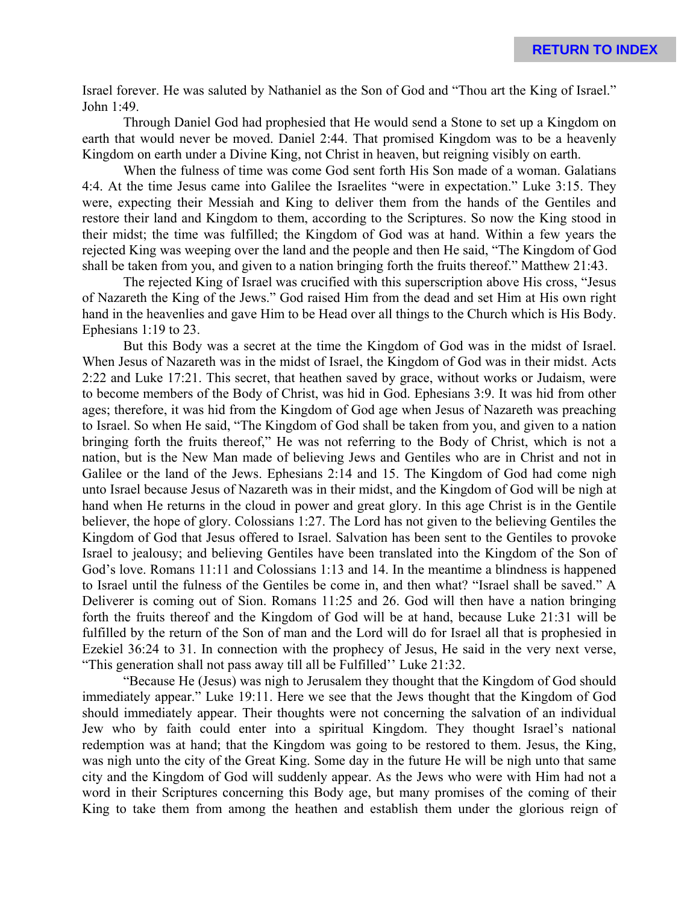Israel forever. He was saluted by Nathaniel as the Son of God and "Thou art the King of Israel." John 1:49.

Through Daniel God had prophesied that He would send a Stone to set up a Kingdom on earth that would never be moved. Daniel 2:44. That promised Kingdom was to be a heavenly Kingdom on earth under a Divine King, not Christ in heaven, but reigning visibly on earth.

When the fulness of time was come God sent forth His Son made of a woman. Galatians 4:4. At the time Jesus came into Galilee the Israelites "were in expectation." Luke 3:15. They were, expecting their Messiah and King to deliver them from the hands of the Gentiles and restore their land and Kingdom to them, according to the Scriptures. So now the King stood in their midst; the time was fulfilled; the Kingdom of God was at hand. Within a few years the rejected King was weeping over the land and the people and then He said, "The Kingdom of God shall be taken from you, and given to a nation bringing forth the fruits thereof." Matthew 21:43.

The rejected King of Israel was crucified with this superscription above His cross, "Jesus of Nazareth the King of the Jews." God raised Him from the dead and set Him at His own right hand in the heavenlies and gave Him to be Head over all things to the Church which is His Body. Ephesians 1:19 to 23.

But this Body was a secret at the time the Kingdom of God was in the midst of Israel. When Jesus of Nazareth was in the midst of Israel, the Kingdom of God was in their midst. Acts 2:22 and Luke 17:21. This secret, that heathen saved by grace, without works or Judaism, were to become members of the Body of Christ, was hid in God. Ephesians 3:9. It was hid from other ages; therefore, it was hid from the Kingdom of God age when Jesus of Nazareth was preaching to Israel. So when He said, "The Kingdom of God shall be taken from you, and given to a nation bringing forth the fruits thereof," He was not referring to the Body of Christ, which is not a nation, but is the New Man made of believing Jews and Gentiles who are in Christ and not in Galilee or the land of the Jews. Ephesians 2:14 and 15. The Kingdom of God had come nigh unto Israel because Jesus of Nazareth was in their midst, and the Kingdom of God will be nigh at hand when He returns in the cloud in power and great glory. In this age Christ is in the Gentile believer, the hope of glory. Colossians 1:27. The Lord has not given to the believing Gentiles the Kingdom of God that Jesus offered to Israel. Salvation has been sent to the Gentiles to provoke Israel to jealousy; and believing Gentiles have been translated into the Kingdom of the Son of God's love. Romans 11:11 and Colossians 1:13 and 14. In the meantime a blindness is happened to Israel until the fulness of the Gentiles be come in, and then what? "Israel shall be saved." A Deliverer is coming out of Sion. Romans 11:25 and 26. God will then have a nation bringing forth the fruits thereof and the Kingdom of God will be at hand, because Luke 21:31 will be fulfilled by the return of the Son of man and the Lord will do for Israel all that is prophesied in Ezekiel 36:24 to 31. In connection with the prophecy of Jesus, He said in the very next verse, "This generation shall not pass away till all be Fulfilled'' Luke 21:32.

"Because He (Jesus) was nigh to Jerusalem they thought that the Kingdom of God should immediately appear." Luke 19:11. Here we see that the Jews thought that the Kingdom of God should immediately appear. Their thoughts were not concerning the salvation of an individual Jew who by faith could enter into a spiritual Kingdom. They thought Israel's national redemption was at hand; that the Kingdom was going to be restored to them. Jesus, the King, was nigh unto the city of the Great King. Some day in the future He will be nigh unto that same city and the Kingdom of God will suddenly appear. As the Jews who were with Him had not a word in their Scriptures concerning this Body age, but many promises of the coming of their King to take them from among the heathen and establish them under the glorious reign of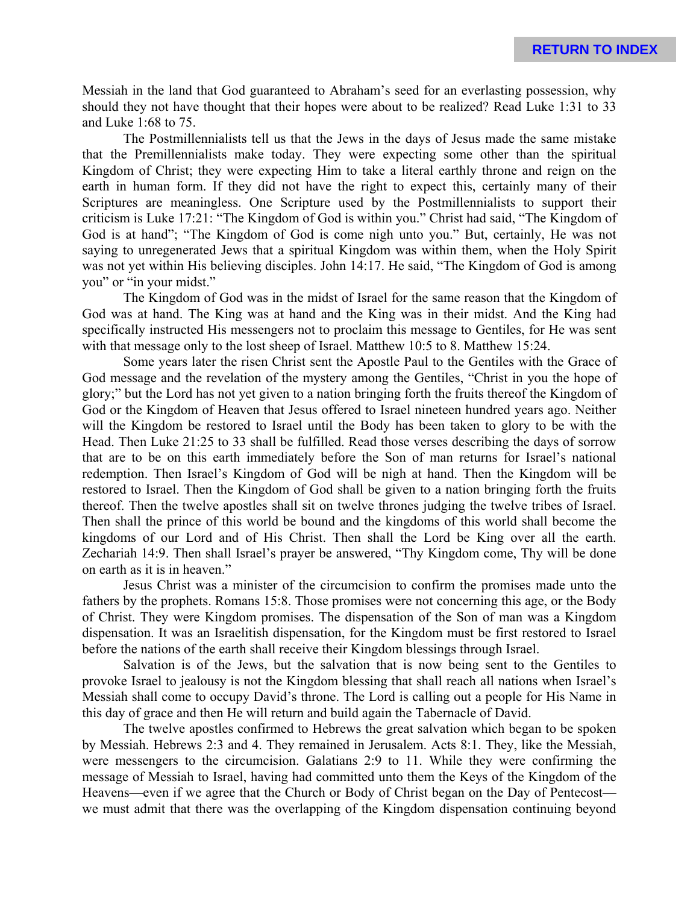Messiah in the land that God guaranteed to Abraham's seed for an everlasting possession, why should they not have thought that their hopes were about to be realized? Read Luke 1:31 to 33 and Luke 1:68 to 75.

The Postmillennialists tell us that the Jews in the days of Jesus made the same mistake that the Premillennialists make today. They were expecting some other than the spiritual Kingdom of Christ; they were expecting Him to take a literal earthly throne and reign on the earth in human form. If they did not have the right to expect this, certainly many of their Scriptures are meaningless. One Scripture used by the Postmillennialists to support their criticism is Luke 17:21: "The Kingdom of God is within you." Christ had said, "The Kingdom of God is at hand"; "The Kingdom of God is come nigh unto you." But, certainly, He was not saying to unregenerated Jews that a spiritual Kingdom was within them, when the Holy Spirit was not yet within His believing disciples. John 14:17. He said, "The Kingdom of God is among you" or "in your midst."

The Kingdom of God was in the midst of Israel for the same reason that the Kingdom of God was at hand. The King was at hand and the King was in their midst. And the King had specifically instructed His messengers not to proclaim this message to Gentiles, for He was sent with that message only to the lost sheep of Israel. Matthew 10:5 to 8. Matthew 15:24.

Some years later the risen Christ sent the Apostle Paul to the Gentiles with the Grace of God message and the revelation of the mystery among the Gentiles, "Christ in you the hope of glory;" but the Lord has not yet given to a nation bringing forth the fruits thereof the Kingdom of God or the Kingdom of Heaven that Jesus offered to Israel nineteen hundred years ago. Neither will the Kingdom be restored to Israel until the Body has been taken to glory to be with the Head. Then Luke 21:25 to 33 shall be fulfilled. Read those verses describing the days of sorrow that are to be on this earth immediately before the Son of man returns for Israel's national redemption. Then Israel's Kingdom of God will be nigh at hand. Then the Kingdom will be restored to Israel. Then the Kingdom of God shall be given to a nation bringing forth the fruits thereof. Then the twelve apostles shall sit on twelve thrones judging the twelve tribes of Israel. Then shall the prince of this world be bound and the kingdoms of this world shall become the kingdoms of our Lord and of His Christ. Then shall the Lord be King over all the earth. Zechariah 14:9. Then shall Israel's prayer be answered, "Thy Kingdom come, Thy will be done on earth as it is in heaven."

Jesus Christ was a minister of the circumcision to confirm the promises made unto the fathers by the prophets. Romans 15:8. Those promises were not concerning this age, or the Body of Christ. They were Kingdom promises. The dispensation of the Son of man was a Kingdom dispensation. It was an Israelitish dispensation, for the Kingdom must be first restored to Israel before the nations of the earth shall receive their Kingdom blessings through Israel.

Salvation is of the Jews, but the salvation that is now being sent to the Gentiles to provoke Israel to jealousy is not the Kingdom blessing that shall reach all nations when Israel's Messiah shall come to occupy David's throne. The Lord is calling out a people for His Name in this day of grace and then He will return and build again the Tabernacle of David.

The twelve apostles confirmed to Hebrews the great salvation which began to be spoken by Messiah. Hebrews 2:3 and 4. They remained in Jerusalem. Acts 8:1. They, like the Messiah, were messengers to the circumcision. Galatians 2:9 to 11. While they were confirming the message of Messiah to Israel, having had committed unto them the Keys of the Kingdom of the Heavens—even if we agree that the Church or Body of Christ began on the Day of Pentecost we must admit that there was the overlapping of the Kingdom dispensation continuing beyond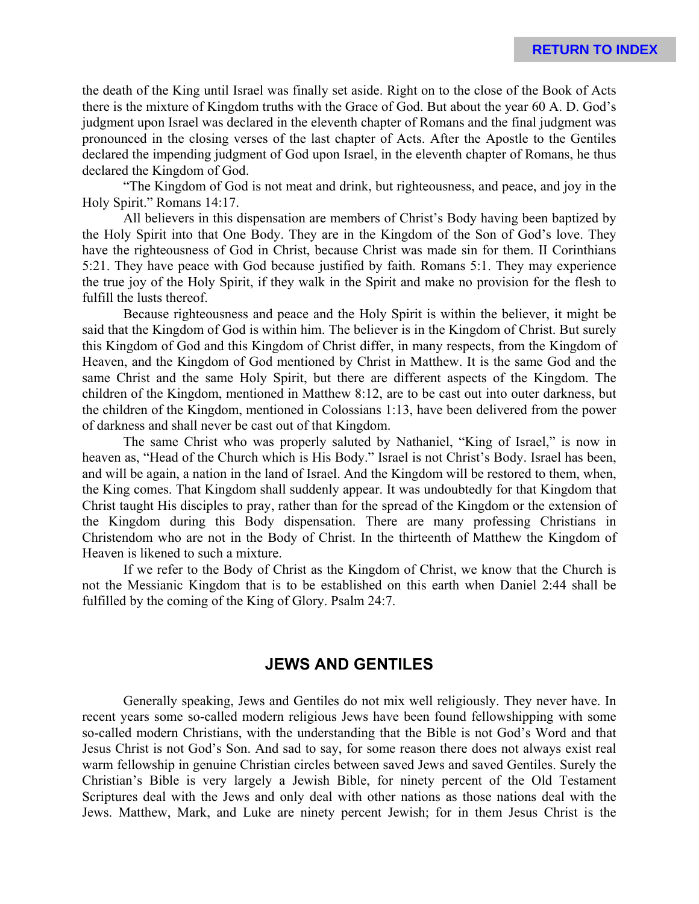the death of the King until Israel was finally set aside. Right on to the close of the Book of Acts there is the mixture of Kingdom truths with the Grace of God. But about the year 60 A. D. God's judgment upon Israel was declared in the eleventh chapter of Romans and the final judgment was pronounced in the closing verses of the last chapter of Acts. After the Apostle to the Gentiles declared the impending judgment of God upon Israel, in the eleventh chapter of Romans, he thus declared the Kingdom of God.

"The Kingdom of God is not meat and drink, but righteousness, and peace, and joy in the Holy Spirit." Romans 14:17.

All believers in this dispensation are members of Christ's Body having been baptized by the Holy Spirit into that One Body. They are in the Kingdom of the Son of God's love. They have the righteousness of God in Christ, because Christ was made sin for them. II Corinthians 5:21. They have peace with God because justified by faith. Romans 5:1. They may experience the true joy of the Holy Spirit, if they walk in the Spirit and make no provision for the flesh to fulfill the lusts thereof.

Because righteousness and peace and the Holy Spirit is within the believer, it might be said that the Kingdom of God is within him. The believer is in the Kingdom of Christ. But surely this Kingdom of God and this Kingdom of Christ differ, in many respects, from the Kingdom of Heaven, and the Kingdom of God mentioned by Christ in Matthew. It is the same God and the same Christ and the same Holy Spirit, but there are different aspects of the Kingdom. The children of the Kingdom, mentioned in Matthew 8:12, are to be cast out into outer darkness, but the children of the Kingdom, mentioned in Colossians 1:13, have been delivered from the power of darkness and shall never be cast out of that Kingdom.

The same Christ who was properly saluted by Nathaniel, "King of Israel," is now in heaven as, "Head of the Church which is His Body." Israel is not Christ's Body. Israel has been, and will be again, a nation in the land of Israel. And the Kingdom will be restored to them, when, the King comes. That Kingdom shall suddenly appear. It was undoubtedly for that Kingdom that Christ taught His disciples to pray, rather than for the spread of the Kingdom or the extension of the Kingdom during this Body dispensation. There are many professing Christians in Christendom who are not in the Body of Christ. In the thirteenth of Matthew the Kingdom of Heaven is likened to such a mixture.

If we refer to the Body of Christ as the Kingdom of Christ, we know that the Church is not the Messianic Kingdom that is to be established on this earth when Daniel 2:44 shall be fulfilled by the coming of the King of Glory. Psalm 24:7.

# **JEWS AND GENTILES**

Generally speaking, Jews and Gentiles do not mix well religiously. They never have. In recent years some so-called modern religious Jews have been found fellowshipping with some so-called modern Christians, with the understanding that the Bible is not God's Word and that Jesus Christ is not God's Son. And sad to say, for some reason there does not always exist real warm fellowship in genuine Christian circles between saved Jews and saved Gentiles. Surely the Christian's Bible is very largely a Jewish Bible, for ninety percent of the Old Testament Scriptures deal with the Jews and only deal with other nations as those nations deal with the Jews. Matthew, Mark, and Luke are ninety percent Jewish; for in them Jesus Christ is the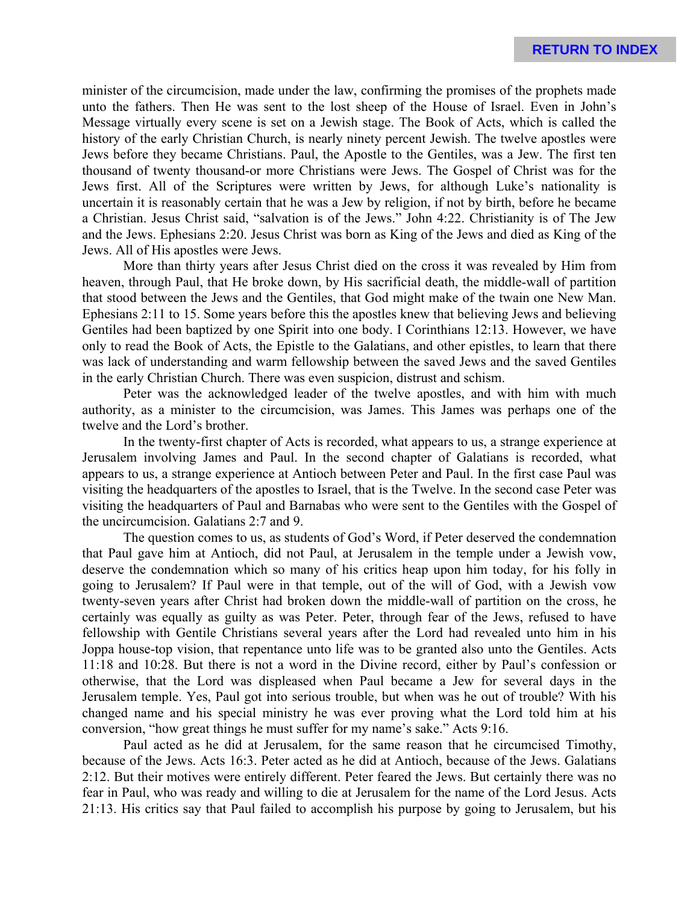minister of the circumcision, made under the law, confirming the promises of the prophets made unto the fathers. Then He was sent to the lost sheep of the House of Israel. Even in John's Message virtually every scene is set on a Jewish stage. The Book of Acts, which is called the history of the early Christian Church, is nearly ninety percent Jewish. The twelve apostles were Jews before they became Christians. Paul, the Apostle to the Gentiles, was a Jew. The first ten thousand of twenty thousand-or more Christians were Jews. The Gospel of Christ was for the Jews first. All of the Scriptures were written by Jews, for although Luke's nationality is uncertain it is reasonably certain that he was a Jew by religion, if not by birth, before he became a Christian. Jesus Christ said, "salvation is of the Jews." John 4:22. Christianity is of The Jew and the Jews. Ephesians 2:20. Jesus Christ was born as King of the Jews and died as King of the Jews. All of His apostles were Jews.

More than thirty years after Jesus Christ died on the cross it was revealed by Him from heaven, through Paul, that He broke down, by His sacrificial death, the middle-wall of partition that stood between the Jews and the Gentiles, that God might make of the twain one New Man. Ephesians 2:11 to 15. Some years before this the apostles knew that believing Jews and believing Gentiles had been baptized by one Spirit into one body. I Corinthians 12:13. However, we have only to read the Book of Acts, the Epistle to the Galatians, and other epistles, to learn that there was lack of understanding and warm fellowship between the saved Jews and the saved Gentiles in the early Christian Church. There was even suspicion, distrust and schism.

Peter was the acknowledged leader of the twelve apostles, and with him with much authority, as a minister to the circumcision, was James. This James was perhaps one of the twelve and the Lord's brother.

In the twenty-first chapter of Acts is recorded, what appears to us, a strange experience at Jerusalem involving James and Paul. In the second chapter of Galatians is recorded, what appears to us, a strange experience at Antioch between Peter and Paul. In the first case Paul was visiting the headquarters of the apostles to Israel, that is the Twelve. In the second case Peter was visiting the headquarters of Paul and Barnabas who were sent to the Gentiles with the Gospel of the uncircumcision. Galatians 2:7 and 9.

The question comes to us, as students of God's Word, if Peter deserved the condemnation that Paul gave him at Antioch, did not Paul, at Jerusalem in the temple under a Jewish vow, deserve the condemnation which so many of his critics heap upon him today, for his folly in going to Jerusalem? If Paul were in that temple, out of the will of God, with a Jewish vow twenty-seven years after Christ had broken down the middle-wall of partition on the cross, he certainly was equally as guilty as was Peter. Peter, through fear of the Jews, refused to have fellowship with Gentile Christians several years after the Lord had revealed unto him in his Joppa house-top vision, that repentance unto life was to be granted also unto the Gentiles. Acts 11:18 and 10:28. But there is not a word in the Divine record, either by Paul's confession or otherwise, that the Lord was displeased when Paul became a Jew for several days in the Jerusalem temple. Yes, Paul got into serious trouble, but when was he out of trouble? With his changed name and his special ministry he was ever proving what the Lord told him at his conversion, "how great things he must suffer for my name's sake." Acts 9:16.

Paul acted as he did at Jerusalem, for the same reason that he circumcised Timothy, because of the Jews. Acts 16:3. Peter acted as he did at Antioch, because of the Jews. Galatians 2:12. But their motives were entirely different. Peter feared the Jews. But certainly there was no fear in Paul, who was ready and willing to die at Jerusalem for the name of the Lord Jesus. Acts 21:13. His critics say that Paul failed to accomplish his purpose by going to Jerusalem, but his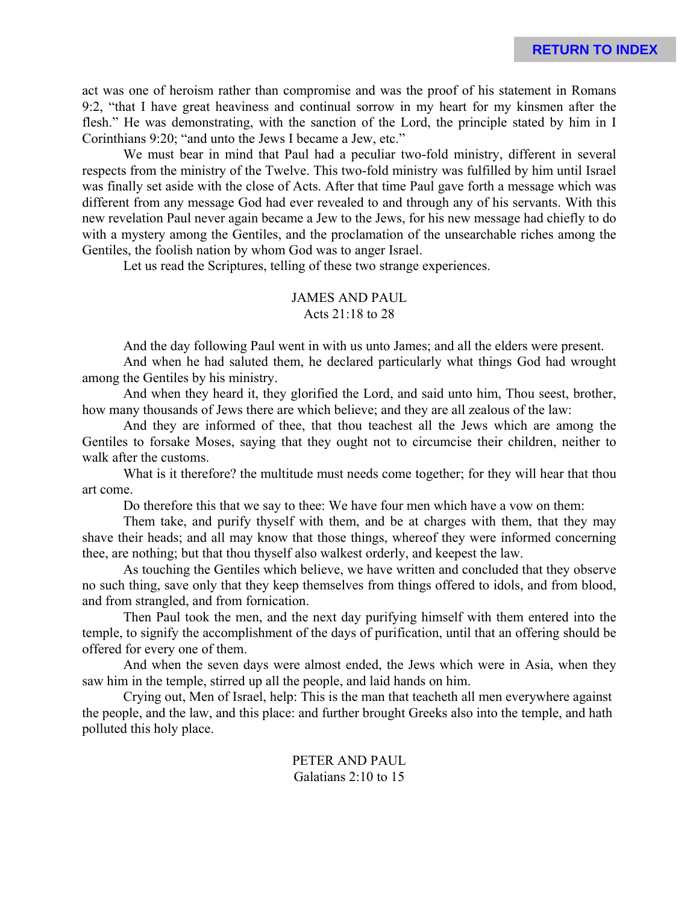act was one of heroism rather than compromise and was the proof of his statement in Romans 9:2, "that I have great heaviness and continual sorrow in my heart for my kinsmen after the flesh." He was demonstrating, with the sanction of the Lord, the principle stated by him in I Corinthians 9:20; "and unto the Jews I became a Jew, etc."

We must bear in mind that Paul had a peculiar two-fold ministry, different in several respects from the ministry of the Twelve. This two-fold ministry was fulfilled by him until Israel was finally set aside with the close of Acts. After that time Paul gave forth a message which was different from any message God had ever revealed to and through any of his servants. With this new revelation Paul never again became a Jew to the Jews, for his new message had chiefly to do with a mystery among the Gentiles, and the proclamation of the unsearchable riches among the Gentiles, the foolish nation by whom God was to anger Israel.

Let us read the Scriptures, telling of these two strange experiences.

### JAMES AND PAUL Acts 21:18 to 28

And the day following Paul went in with us unto James; and all the elders were present.

And when he had saluted them, he declared particularly what things God had wrought among the Gentiles by his ministry.

And when they heard it, they glorified the Lord, and said unto him, Thou seest, brother, how many thousands of Jews there are which believe; and they are all zealous of the law:

And they are informed of thee, that thou teachest all the Jews which are among the Gentiles to forsake Moses, saying that they ought not to circumcise their children, neither to walk after the customs.

What is it therefore? the multitude must needs come together; for they will hear that thou art come.

Do therefore this that we say to thee: We have four men which have a vow on them:

Them take, and purify thyself with them, and be at charges with them, that they may shave their heads; and all may know that those things, whereof they were informed concerning thee, are nothing; but that thou thyself also walkest orderly, and keepest the law.

As touching the Gentiles which believe, we have written and concluded that they observe no such thing, save only that they keep themselves from things offered to idols, and from blood, and from strangled, and from fornication.

Then Paul took the men, and the next day purifying himself with them entered into the temple, to signify the accomplishment of the days of purification, until that an offering should be offered for every one of them.

And when the seven days were almost ended, the Jews which were in Asia, when they saw him in the temple, stirred up all the people, and laid hands on him.

Crying out, Men of Israel, help: This is the man that teacheth all men everywhere against the people, and the law, and this place: and further brought Greeks also into the temple, and hath polluted this holy place.

> PETER AND PAUL Galatians 2:10 to 15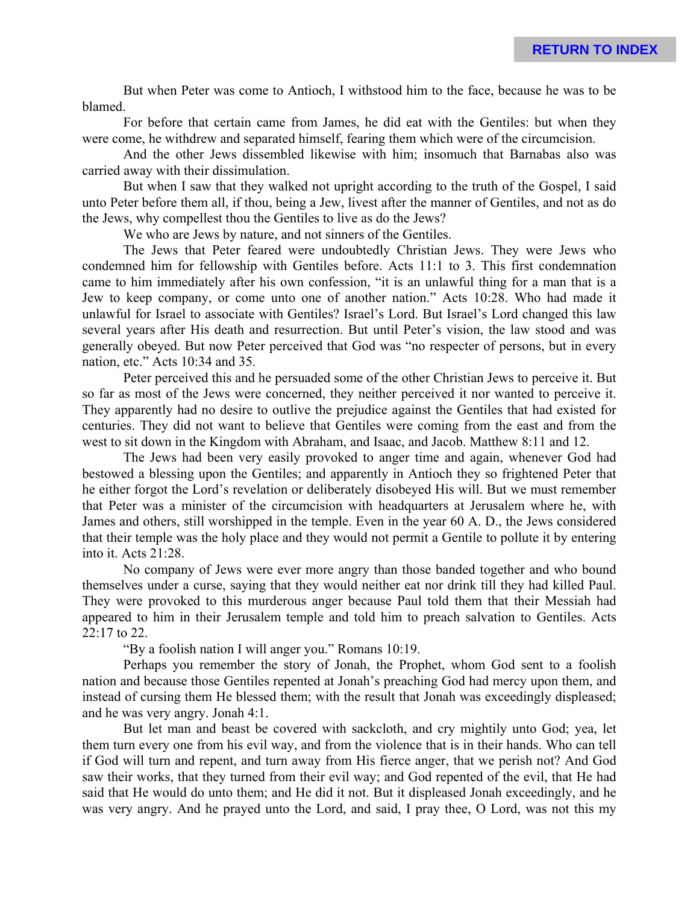But when Peter was come to Antioch, I withstood him to the face, because he was to be blamed.

For before that certain came from James, he did eat with the Gentiles: but when they were come, he withdrew and separated himself, fearing them which were of the circumcision.

And the other Jews dissembled likewise with him; insomuch that Barnabas also was carried away with their dissimulation.

But when I saw that they walked not upright according to the truth of the Gospel, I said unto Peter before them all, if thou, being a Jew, livest after the manner of Gentiles, and not as do the Jews, why compellest thou the Gentiles to live as do the Jews?

We who are Jews by nature, and not sinners of the Gentiles.

The Jews that Peter feared were undoubtedly Christian Jews. They were Jews who condemned him for fellowship with Gentiles before. Acts 11:1 to 3. This first condemnation came to him immediately after his own confession, "it is an unlawful thing for a man that is a Jew to keep company, or come unto one of another nation." Acts 10:28. Who had made it unlawful for Israel to associate with Gentiles? Israel's Lord. But Israel's Lord changed this law several years after His death and resurrection. But until Peter's vision, the law stood and was generally obeyed. But now Peter perceived that God was "no respecter of persons, but in every nation, etc." Acts 10:34 and 35.

Peter perceived this and he persuaded some of the other Christian Jews to perceive it. But so far as most of the Jews were concerned, they neither perceived it nor wanted to perceive it. They apparently had no desire to outlive the prejudice against the Gentiles that had existed for centuries. They did not want to believe that Gentiles were coming from the east and from the west to sit down in the Kingdom with Abraham, and Isaac, and Jacob. Matthew 8:11 and 12.

The Jews had been very easily provoked to anger time and again, whenever God had bestowed a blessing upon the Gentiles; and apparently in Antioch they so frightened Peter that he either forgot the Lord's revelation or deliberately disobeyed His will. But we must remember that Peter was a minister of the circumcision with headquarters at Jerusalem where he, with James and others, still worshipped in the temple. Even in the year 60 A. D., the Jews considered that their temple was the holy place and they would not permit a Gentile to pollute it by entering into it. Acts 21:28.

No company of Jews were ever more angry than those banded together and who bound themselves under a curse, saying that they would neither eat nor drink till they had killed Paul. They were provoked to this murderous anger because Paul told them that their Messiah had appeared to him in their Jerusalem temple and told him to preach salvation to Gentiles. Acts 22:17 to 22.

"By a foolish nation I will anger you." Romans 10:19.

Perhaps you remember the story of Jonah, the Prophet, whom God sent to a foolish nation and because those Gentiles repented at Jonah's preaching God had mercy upon them, and instead of cursing them He blessed them; with the result that Jonah was exceedingly displeased; and he was very angry. Jonah 4:1.

But let man and beast be covered with sackcloth, and cry mightily unto God; yea, let them turn every one from his evil way, and from the violence that is in their hands. Who can tell if God will turn and repent, and turn away from His fierce anger, that we perish not? And God saw their works, that they turned from their evil way; and God repented of the evil, that He had said that He would do unto them; and He did it not. But it displeased Jonah exceedingly, and he was very angry. And he prayed unto the Lord, and said, I pray thee, O Lord, was not this my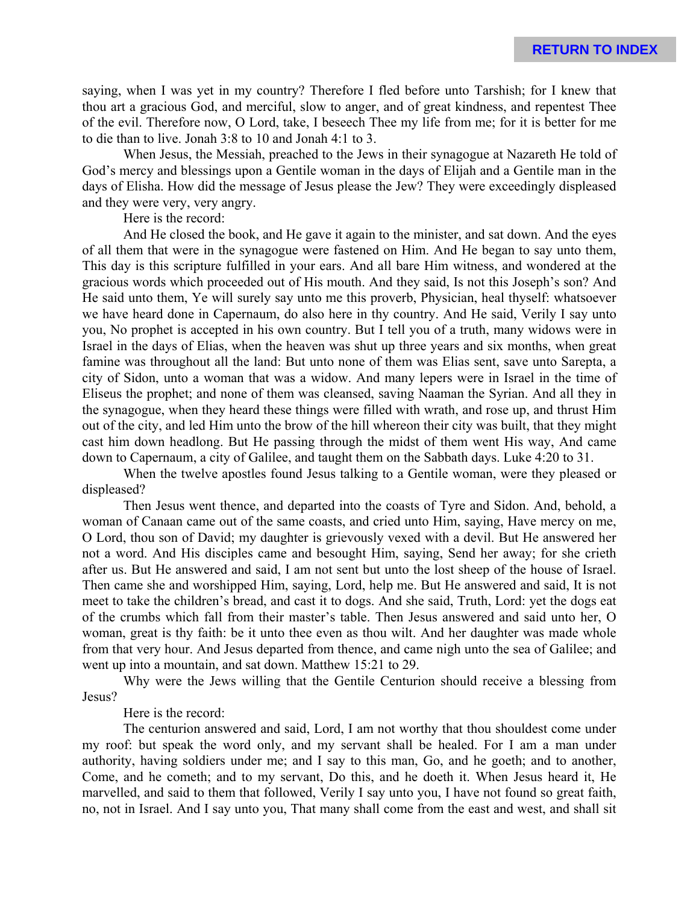saying, when I was yet in my country? Therefore I fled before unto Tarshish; for I knew that thou art a gracious God, and merciful, slow to anger, and of great kindness, and repentest Thee of the evil. Therefore now, O Lord, take, I beseech Thee my life from me; for it is better for me to die than to live. Jonah 3:8 to 10 and Jonah 4:1 to 3.

When Jesus, the Messiah, preached to the Jews in their synagogue at Nazareth He told of God's mercy and blessings upon a Gentile woman in the days of Elijah and a Gentile man in the days of Elisha. How did the message of Jesus please the Jew? They were exceedingly displeased and they were very, very angry.

Here is the record:

And He closed the book, and He gave it again to the minister, and sat down. And the eyes of all them that were in the synagogue were fastened on Him. And He began to say unto them, This day is this scripture fulfilled in your ears. And all bare Him witness, and wondered at the gracious words which proceeded out of His mouth. And they said, Is not this Joseph's son? And He said unto them, Ye will surely say unto me this proverb, Physician, heal thyself: whatsoever we have heard done in Capernaum, do also here in thy country. And He said, Verily I say unto you, No prophet is accepted in his own country. But I tell you of a truth, many widows were in Israel in the days of Elias, when the heaven was shut up three years and six months, when great famine was throughout all the land: But unto none of them was Elias sent, save unto Sarepta, a city of Sidon, unto a woman that was a widow. And many lepers were in Israel in the time of Eliseus the prophet; and none of them was cleansed, saving Naaman the Syrian. And all they in the synagogue, when they heard these things were filled with wrath, and rose up, and thrust Him out of the city, and led Him unto the brow of the hill whereon their city was built, that they might cast him down headlong. But He passing through the midst of them went His way, And came down to Capernaum, a city of Galilee, and taught them on the Sabbath days. Luke 4:20 to 31.

When the twelve apostles found Jesus talking to a Gentile woman, were they pleased or displeased?

Then Jesus went thence, and departed into the coasts of Tyre and Sidon. And, behold, a woman of Canaan came out of the same coasts, and cried unto Him, saying, Have mercy on me, O Lord, thou son of David; my daughter is grievously vexed with a devil. But He answered her not a word. And His disciples came and besought Him, saying, Send her away; for she crieth after us. But He answered and said, I am not sent but unto the lost sheep of the house of Israel. Then came she and worshipped Him, saying, Lord, help me. But He answered and said, It is not meet to take the children's bread, and cast it to dogs. And she said, Truth, Lord: yet the dogs eat of the crumbs which fall from their master's table. Then Jesus answered and said unto her, O woman, great is thy faith: be it unto thee even as thou wilt. And her daughter was made whole from that very hour. And Jesus departed from thence, and came nigh unto the sea of Galilee; and went up into a mountain, and sat down. Matthew 15:21 to 29.

Why were the Jews willing that the Gentile Centurion should receive a blessing from Jesus?

Here is the record:

The centurion answered and said, Lord, I am not worthy that thou shouldest come under my roof: but speak the word only, and my servant shall be healed. For I am a man under authority, having soldiers under me; and I say to this man, Go, and he goeth; and to another, Come, and he cometh; and to my servant, Do this, and he doeth it. When Jesus heard it, He marvelled, and said to them that followed, Verily I say unto you, I have not found so great faith, no, not in Israel. And I say unto you, That many shall come from the east and west, and shall sit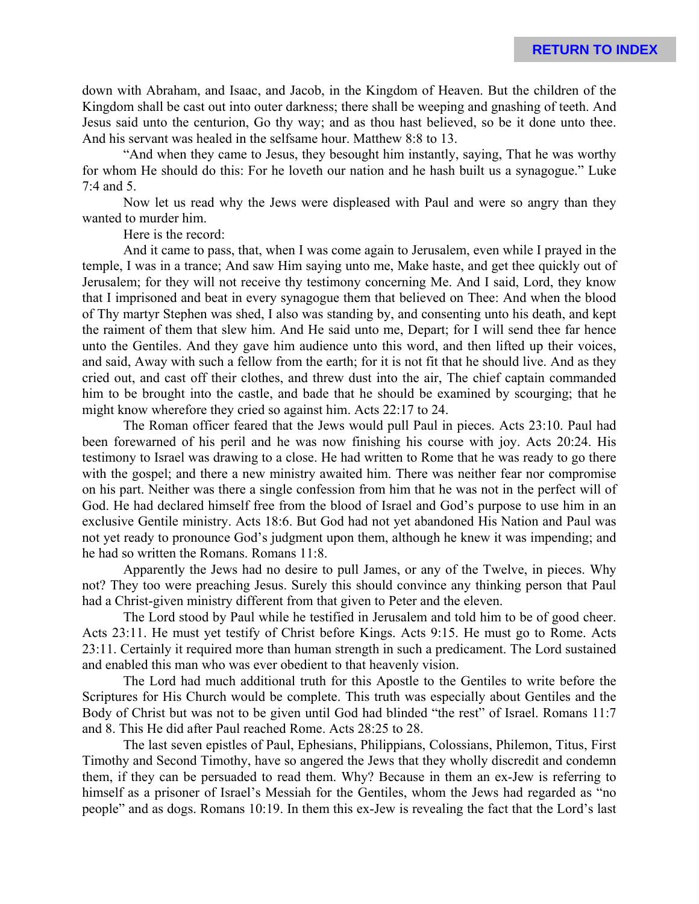down with Abraham, and Isaac, and Jacob, in the Kingdom of Heaven. But the children of the Kingdom shall be cast out into outer darkness; there shall be weeping and gnashing of teeth. And Jesus said unto the centurion, Go thy way; and as thou hast believed, so be it done unto thee. And his servant was healed in the selfsame hour. Matthew 8:8 to 13.

"And when they came to Jesus, they besought him instantly, saying, That he was worthy for whom He should do this: For he loveth our nation and he hash built us a synagogue." Luke 7:4 and 5.

Now let us read why the Jews were displeased with Paul and were so angry than they wanted to murder him.

Here is the record:

And it came to pass, that, when I was come again to Jerusalem, even while I prayed in the temple, I was in a trance; And saw Him saying unto me, Make haste, and get thee quickly out of Jerusalem; for they will not receive thy testimony concerning Me. And I said, Lord, they know that I imprisoned and beat in every synagogue them that believed on Thee: And when the blood of Thy martyr Stephen was shed, I also was standing by, and consenting unto his death, and kept the raiment of them that slew him. And He said unto me, Depart; for I will send thee far hence unto the Gentiles. And they gave him audience unto this word, and then lifted up their voices, and said, Away with such a fellow from the earth; for it is not fit that he should live. And as they cried out, and cast off their clothes, and threw dust into the air, The chief captain commanded him to be brought into the castle, and bade that he should be examined by scourging; that he might know wherefore they cried so against him. Acts 22:17 to 24.

The Roman officer feared that the Jews would pull Paul in pieces. Acts 23:10. Paul had been forewarned of his peril and he was now finishing his course with joy. Acts 20:24. His testimony to Israel was drawing to a close. He had written to Rome that he was ready to go there with the gospel; and there a new ministry awaited him. There was neither fear nor compromise on his part. Neither was there a single confession from him that he was not in the perfect will of God. He had declared himself free from the blood of Israel and God's purpose to use him in an exclusive Gentile ministry. Acts 18:6. But God had not yet abandoned His Nation and Paul was not yet ready to pronounce God's judgment upon them, although he knew it was impending; and he had so written the Romans. Romans 11:8.

Apparently the Jews had no desire to pull James, or any of the Twelve, in pieces. Why not? They too were preaching Jesus. Surely this should convince any thinking person that Paul had a Christ-given ministry different from that given to Peter and the eleven.

The Lord stood by Paul while he testified in Jerusalem and told him to be of good cheer. Acts 23:11. He must yet testify of Christ before Kings. Acts 9:15. He must go to Rome. Acts 23:11. Certainly it required more than human strength in such a predicament. The Lord sustained and enabled this man who was ever obedient to that heavenly vision.

The Lord had much additional truth for this Apostle to the Gentiles to write before the Scriptures for His Church would be complete. This truth was especially about Gentiles and the Body of Christ but was not to be given until God had blinded "the rest" of Israel. Romans 11:7 and 8. This He did after Paul reached Rome. Acts 28:25 to 28.

The last seven epistles of Paul, Ephesians, Philippians, Colossians, Philemon, Titus, First Timothy and Second Timothy, have so angered the Jews that they wholly discredit and condemn them, if they can be persuaded to read them. Why? Because in them an ex-Jew is referring to himself as a prisoner of Israel's Messiah for the Gentiles, whom the Jews had regarded as "no people" and as dogs. Romans 10:19. In them this ex-Jew is revealing the fact that the Lord's last